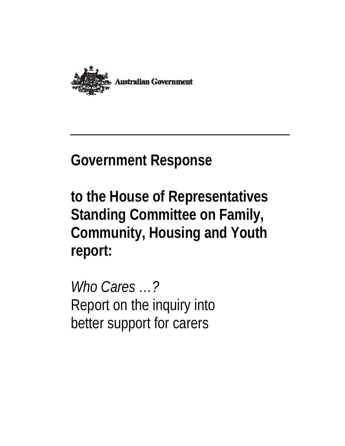

# **Government Response**

**to the House of Representatives Standing Committee on Family, Community, Housing and Youth report:**

*Who Cares …?* Report on the inquiry into better support for carers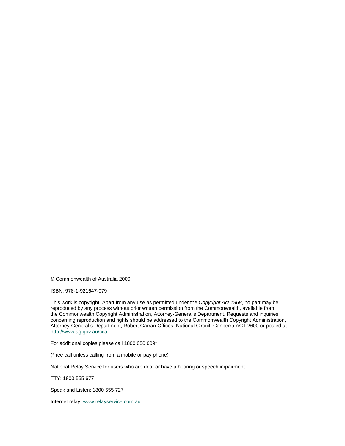© Commonwealth of Australia 2009

ISBN: 978-1-921647-079

This work is copyright. Apart from any use as permitted under the *Copyright Act 1968*, no part may be reproduced by any process without prior written permission from the Commonwealth, available from the Commonwealth Copyright Administration, Attorney-General's Department. Requests and inquiries concerning reproduction and rights should be addressed to the Commonwealth Copyright Administration, Attorney-General's Department, Robert Garran Offices, National Circuit, Canberra ACT 2600 or posted at http://www.ag.gov.au/cca

For additional copies please call 1800 050 009\*

(\*free call unless calling from a mobile or pay phone)

National Relay Service for users who are deaf or have a hearing or speech impairment

TTY: 1800 555 677

Speak and Listen: 1800 555 727

Internet relay: www.relayservice.com.au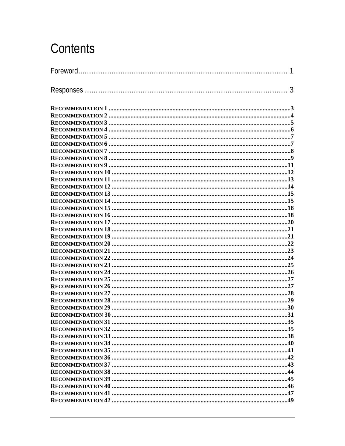## Contents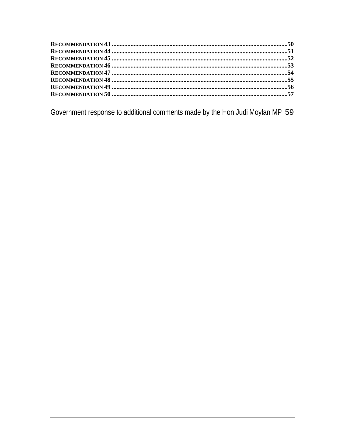Government response to additional comments made by the Hon Judi Moylan MP 59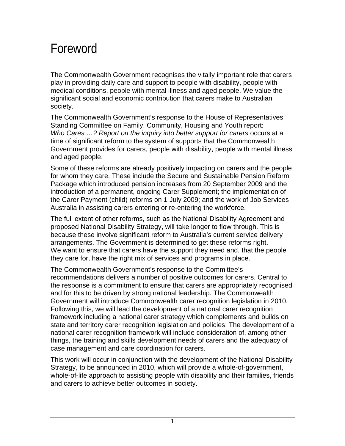## Foreword

The Commonwealth Government recognises the vitally important role that carers play in providing daily care and support to people with disability, people with medical conditions, people with mental illness and aged people. We value the significant social and economic contribution that carers make to Australian society.

The Commonwealth Government's response to the House of Representatives Standing Committee on Family, Community, Housing and Youth report: *Who Cares …? Report on the inquiry into better support for carers* occurs at a time of significant reform to the system of supports that the Commonwealth Government provides for carers, people with disability, people with mental illness and aged people.

Some of these reforms are already positively impacting on carers and the people for whom they care. These include the Secure and Sustainable Pension Reform Package which introduced pension increases from 20 September 2009 and the introduction of a permanent, ongoing Carer Supplement; the implementation of the Carer Payment (child) reforms on 1 July 2009; and the work of Job Services Australia in assisting carers entering or re-entering the workforce.

The full extent of other reforms, such as the National Disability Agreement and proposed National Disability Strategy, will take longer to flow through. This is because these involve significant reform to Australia's current service delivery arrangements. The Government is determined to get these reforms right. We want to ensure that carers have the support they need and, that the people they care for, have the right mix of services and programs in place.

The Commonwealth Government's response to the Committee's recommendations delivers a number of positive outcomes for carers. Central to the response is a commitment to ensure that carers are appropriately recognised and for this to be driven by strong national leadership. The Commonwealth Government will introduce Commonwealth carer recognition legislation in 2010. Following this, we will lead the development of a national carer recognition framework including a national carer strategy which complements and builds on state and territory carer recognition legislation and policies. The development of a national carer recognition framework will include consideration of, among other things, the training and skills development needs of carers and the adequacy of case management and care coordination for carers.

This work will occur in conjunction with the development of the National Disability Strategy, to be announced in 2010, which will provide a whole-of-government, whole-of-life approach to assisting people with disability and their families, friends and carers to achieve better outcomes in society.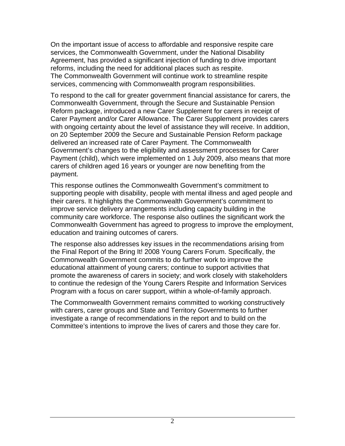On the important issue of access to affordable and responsive respite care services, the Commonwealth Government, under the National Disability Agreement, has provided a significant injection of funding to drive important reforms, including the need for additional places such as respite. The Commonwealth Government will continue work to streamline respite services, commencing with Commonwealth program responsibilities.

To respond to the call for greater government financial assistance for carers, the Commonwealth Government, through the Secure and Sustainable Pension Reform package, introduced a new Carer Supplement for carers in receipt of Carer Payment and/or Carer Allowance. The Carer Supplement provides carers with ongoing certainty about the level of assistance they will receive. In addition, on 20 September 2009 the Secure and Sustainable Pension Reform package delivered an increased rate of Carer Payment. The Commonwealth Government's changes to the eligibility and assessment processes for Carer Payment (child), which were implemented on 1 July 2009, also means that more carers of children aged 16 years or younger are now benefiting from the payment.

This response outlines the Commonwealth Government's commitment to supporting people with disability, people with mental illness and aged people and their carers. It highlights the Commonwealth Government's commitment to improve service delivery arrangements including capacity building in the community care workforce. The response also outlines the significant work the Commonwealth Government has agreed to progress to improve the employment, education and training outcomes of carers.

The response also addresses key issues in the recommendations arising from the Final Report of the Bring It! 2008 Young Carers Forum. Specifically, the Commonwealth Government commits to do further work to improve the educational attainment of young carers; continue to support activities that promote the awareness of carers in society; and work closely with stakeholders to continue the redesign of the Young Carers Respite and Information Services Program with a focus on carer support, within a whole-of-family approach.

The Commonwealth Government remains committed to working constructively with carers, carer groups and State and Territory Governments to further investigate a range of recommendations in the report and to build on the Committee's intentions to improve the lives of carers and those they care for.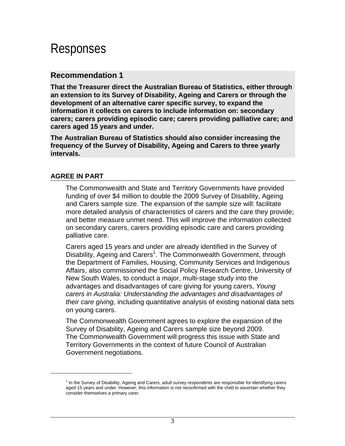## Responses

#### **Recommendation 1**

**That the Treasurer direct the Australian Bureau of Statistics, either through an extension to its Survey of Disability, Ageing and Carers or through the development of an alternative carer specific survey, to expand the information it collects on carers to include information on: secondary carers; carers providing episodic care; carers providing palliative care; and carers aged 15 years and under.** 

**The Australian Bureau of Statistics should also consider increasing the frequency of the Survey of Disability, Ageing and Carers to three yearly intervals.**

#### **AGREE IN PART**

 $\overline{a}$ 

The Commonwealth and State and Territory Governments have provided funding of over \$4 million to double the 2009 Survey of Disability, Ageing and Carers sample size. The expansion of the sample size will: facilitate more detailed analysis of characteristics of carers and the care they provide; and better measure unmet need. This will improve the information collected on secondary carers, carers providing episodic care and carers providing palliative care.

Carers aged 15 years and under are already identified in the Survey of Disability, Ageing and Carers<sup>1</sup>. The Commonwealth Government, through the Department of Families, Housing, Community Services and Indigenous Affairs, also commissioned the Social Policy Research Centre, University of New South Wales, to conduct a major, multi-stage study into the advantages and disadvantages of care giving for young carers, *Young carers in Australia: Understanding the advantages and disadvantages of their care giving,* including quantitative analysis of existing national data sets on young carers.

The Commonwealth Government agrees to explore the expansion of the Survey of Disability, Ageing and Carers sample size beyond 2009. The Commonwealth Government will progress this issue with State and Territory Governments in the context of future Council of Australian Government negotiations.

<sup>&</sup>lt;sup>1</sup> In the Survey of Disability, Ageing and Carers, adult survey respondents are responsible for identifying carers aged 15 years and under. However, this information is not reconfirmed with the child to ascertain whether they consider themselves a primary carer.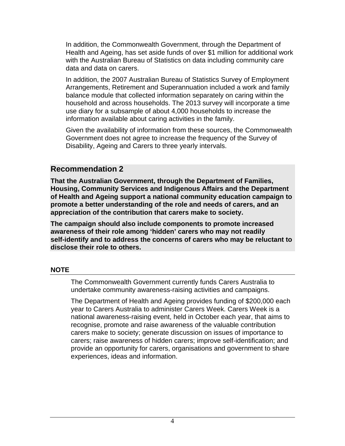In addition, the Commonwealth Government, through the Department of Health and Ageing, has set aside funds of over \$1 million for additional work with the Australian Bureau of Statistics on data including community care data and data on carers.

In addition, the 2007 Australian Bureau of Statistics Survey of Employment Arrangements, Retirement and Superannuation included a work and family balance module that collected information separately on caring within the household and across households. The 2013 survey will incorporate a time use diary for a subsample of about 4,000 households to increase the information available about caring activities in the family.

Given the availability of information from these sources, the Commonwealth Government does not agree to increase the frequency of the Survey of Disability, Ageing and Carers to three yearly intervals.

#### **Recommendation 2**

**That the Australian Government, through the Department of Families, Housing, Community Services and Indigenous Affairs and the Department of Health and Ageing support a national community education campaign to promote a better understanding of the role and needs of carers, and an appreciation of the contribution that carers make to society.**

**The campaign should also include components to promote increased awareness of their role among 'hidden' carers who may not readily self-identify and to address the concerns of carers who may be reluctant to disclose their role to others.**

#### **NOTE**

The Commonwealth Government currently funds Carers Australia to undertake community awareness-raising activities and campaigns.

The Department of Health and Ageing provides funding of \$200,000 each year to Carers Australia to administer Carers Week. Carers Week is a national awareness-raising event, held in October each year, that aims to recognise, promote and raise awareness of the valuable contribution carers make to society; generate discussion on issues of importance to carers; raise awareness of hidden carers; improve self-identification; and provide an opportunity for carers, organisations and government to share experiences, ideas and information.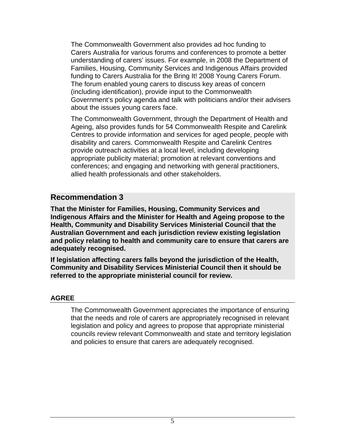The Commonwealth Government also provides ad hoc funding to Carers Australia for various forums and conferences to promote a better understanding of carers' issues. For example, in 2008 the Department of Families, Housing, Community Services and Indigenous Affairs provided funding to Carers Australia for the Bring It! 2008 Young Carers Forum. The forum enabled young carers to discuss key areas of concern (including identification), provide input to the Commonwealth Government's policy agenda and talk with politicians and/or their advisers about the issues young carers face.

The Commonwealth Government, through the Department of Health and Ageing, also provides funds for 54 Commonwealth Respite and Carelink Centres to provide information and services for aged people, people with disability and carers. Commonwealth Respite and Carelink Centres provide outreach activities at a local level, including developing appropriate publicity material; promotion at relevant conventions and conferences; and engaging and networking with general practitioners, allied health professionals and other stakeholders.

#### **Recommendation 3**

**That the Minister for Families, Housing, Community Services and Indigenous Affairs and the Minister for Health and Ageing propose to the Health, Community and Disability Services Ministerial Council that the Australian Government and each jurisdiction review existing legislation and policy relating to health and community care to ensure that carers are adequately recognised.**

**If legislation affecting carers falls beyond the jurisdiction of the Health, Community and Disability Services Ministerial Council then it should be referred to the appropriate ministerial council for review.**

#### **AGREE**

The Commonwealth Government appreciates the importance of ensuring that the needs and role of carers are appropriately recognised in relevant legislation and policy and agrees to propose that appropriate ministerial councils review relevant Commonwealth and state and territory legislation and policies to ensure that carers are adequately recognised.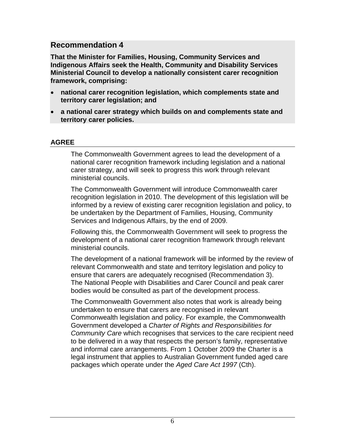**That the Minister for Families, Housing, Community Services and Indigenous Affairs seek the Health, Community and Disability Services Ministerial Council to develop a nationally consistent carer recognition framework, comprising:** 

- **national carer recognition legislation, which complements state and territory carer legislation; and**
- **a national carer strategy which builds on and complements state and territory carer policies.**

#### **AGREE**

The Commonwealth Government agrees to lead the development of a national carer recognition framework including legislation and a national carer strategy, and will seek to progress this work through relevant ministerial councils.

The Commonwealth Government will introduce Commonwealth carer recognition legislation in 2010. The development of this legislation will be informed by a review of existing carer recognition legislation and policy, to be undertaken by the Department of Families, Housing, Community Services and Indigenous Affairs, by the end of 2009.

Following this, the Commonwealth Government will seek to progress the development of a national carer recognition framework through relevant ministerial councils.

The development of a national framework will be informed by the review of relevant Commonwealth and state and territory legislation and policy to ensure that carers are adequately recognised (Recommendation 3). The National People with Disabilities and Carer Council and peak carer bodies would be consulted as part of the development process.

The Commonwealth Government also notes that work is already being undertaken to ensure that carers are recognised in relevant Commonwealth legislation and policy. For example, the Commonwealth Government developed a *Charter of Rights and Responsibilities for Community Care* which recognises that services to the care recipient need to be delivered in a way that respects the person's family, representative and informal care arrangements. From 1 October 2009 the Charter is a legal instrument that applies to Australian Government funded aged care packages which operate under the *Aged Care Act 1997* (Cth).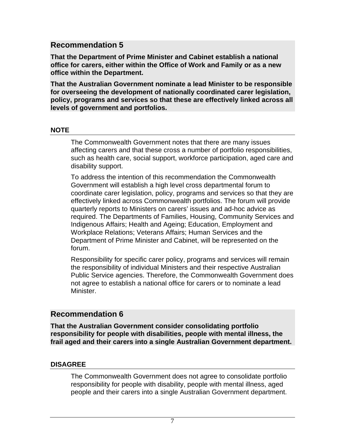**That the Department of Prime Minister and Cabinet establish a national office for carers, either within the Office of Work and Family or as a new office within the Department.**

**That the Australian Government nominate a lead Minister to be responsible for overseeing the development of nationally coordinated carer legislation, policy, programs and services so that these are effectively linked across all levels of government and portfolios.**

#### **NOTE**

The Commonwealth Government notes that there are many issues affecting carers and that these cross a number of portfolio responsibilities, such as health care, social support, workforce participation, aged care and disability support.

To address the intention of this recommendation the Commonwealth Government will establish a high level cross departmental forum to coordinate carer legislation, policy, programs and services so that they are effectively linked across Commonwealth portfolios. The forum will provide quarterly reports to Ministers on carers' issues and ad-hoc advice as required. The Departments of Families, Housing, Community Services and Indigenous Affairs; Health and Ageing; Education, Employment and Workplace Relations; Veterans Affairs; Human Services and the Department of Prime Minister and Cabinet, will be represented on the forum.

Responsibility for specific carer policy, programs and services will remain the responsibility of individual Ministers and their respective Australian Public Service agencies. Therefore, the Commonwealth Government does not agree to establish a national office for carers or to nominate a lead Minister.

### **Recommendation 6**

**That the Australian Government consider consolidating portfolio responsibility for people with disabilities, people with mental illness, the frail aged and their carers into a single Australian Government department.**

#### **DISAGREE**

The Commonwealth Government does not agree to consolidate portfolio responsibility for people with disability, people with mental illness, aged people and their carers into a single Australian Government department.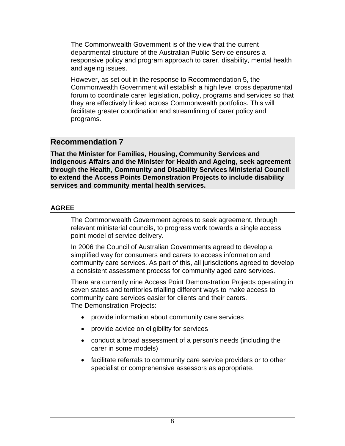The Commonwealth Government is of the view that the current departmental structure of the Australian Public Service ensures a responsive policy and program approach to carer, disability, mental health and ageing issues.

However, as set out in the response to Recommendation 5, the Commonwealth Government will establish a high level cross departmental forum to coordinate carer legislation, policy, programs and services so that they are effectively linked across Commonwealth portfolios. This will facilitate greater coordination and streamlining of carer policy and programs.

## **Recommendation 7**

**That the Minister for Families, Housing, Community Services and Indigenous Affairs and the Minister for Health and Ageing, seek agreement through the Health, Community and Disability Services Ministerial Council to extend the Access Points Demonstration Projects to include disability services and community mental health services.**

#### **AGREE**

The Commonwealth Government agrees to seek agreement, through relevant ministerial councils, to progress work towards a single access point model of service delivery.

In 2006 the Council of Australian Governments agreed to develop a simplified way for consumers and carers to access information and community care services. As part of this, all jurisdictions agreed to develop a consistent assessment process for community aged care services.

There are currently nine Access Point Demonstration Projects operating in seven states and territories trialling different ways to make access to community care services easier for clients and their carers. The Demonstration Projects:

- provide information about community care services
- provide advice on eligibility for services
- conduct a broad assessment of a person's needs (including the carer in some models)
- facilitate referrals to community care service providers or to other specialist or comprehensive assessors as appropriate.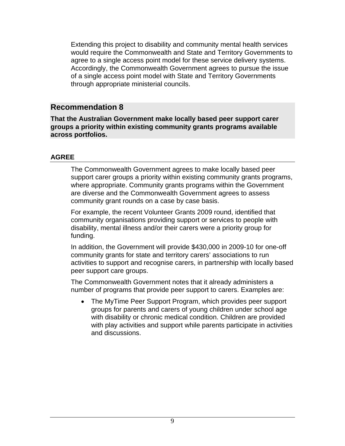Extending this project to disability and community mental health services would require the Commonwealth and State and Territory Governments to agree to a single access point model for these service delivery systems. Accordingly, the Commonwealth Government agrees to pursue the issue of a single access point model with State and Territory Governments through appropriate ministerial councils.

## **Recommendation 8**

**That the Australian Government make locally based peer support carer groups a priority within existing community grants programs available across portfolios.**

#### **AGREE**

The Commonwealth Government agrees to make locally based peer support carer groups a priority within existing community grants programs, where appropriate. Community grants programs within the Government are diverse and the Commonwealth Government agrees to assess community grant rounds on a case by case basis.

For example, the recent Volunteer Grants 2009 round, identified that community organisations providing support or services to people with disability, mental illness and/or their carers were a priority group for funding.

In addition, the Government will provide \$430,000 in 2009-10 for one-off community grants for state and territory carers' associations to run activities to support and recognise carers, in partnership with locally based peer support care groups.

The Commonwealth Government notes that it already administers a number of programs that provide peer support to carers. Examples are:

 The MyTime Peer Support Program, which provides peer support groups for parents and carers of young children under school age with disability or chronic medical condition. Children are provided with play activities and support while parents participate in activities and discussions.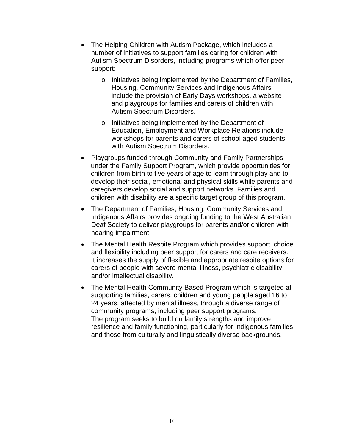- The Helping Children with Autism Package, which includes a number of initiatives to support families caring for children with Autism Spectrum Disorders, including programs which offer peer support:
	- o Initiatives being implemented by the Department of Families, Housing, Community Services and Indigenous Affairs include the provision of Early Days workshops, a website and playgroups for families and carers of children with Autism Spectrum Disorders.
	- o Initiatives being implemented by the Department of Education, Employment and Workplace Relations include workshops for parents and carers of school aged students with Autism Spectrum Disorders.
- Playgroups funded through Community and Family Partnerships under the Family Support Program, which provide opportunities for children from birth to five years of age to learn through play and to develop their social, emotional and physical skills while parents and caregivers develop social and support networks. Families and children with disability are a specific target group of this program.
- The Department of Families, Housing, Community Services and Indigenous Affairs provides ongoing funding to the West Australian Deaf Society to deliver playgroups for parents and/or children with hearing impairment.
- The Mental Health Respite Program which provides support, choice and flexibility including peer support for carers and care receivers. It increases the supply of flexible and appropriate respite options for carers of people with severe mental illness, psychiatric disability and/or intellectual disability.
- The Mental Health Community Based Program which is targeted at supporting families, carers, children and young people aged 16 to 24 years, affected by mental illness, through a diverse range of community programs, including peer support programs. The program seeks to build on family strengths and improve resilience and family functioning, particularly for Indigenous families and those from culturally and linguistically diverse backgrounds.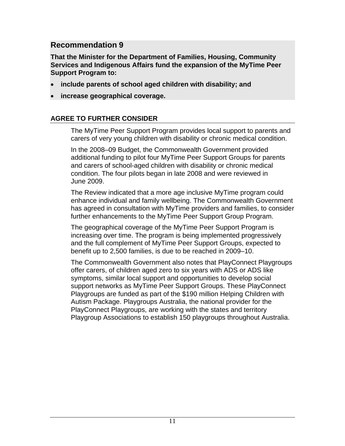**That the Minister for the Department of Families, Housing, Community Services and Indigenous Affairs fund the expansion of the MyTime Peer Support Program to:** 

- **include parents of school aged children with disability; and**
- **increase geographical coverage.**

#### **AGREE TO FURTHER CONSIDER**

The MyTime Peer Support Program provides local support to parents and carers of very young children with disability or chronic medical condition.

In the 2008–09 Budget, the Commonwealth Government provided additional funding to pilot four MyTime Peer Support Groups for parents and carers of school-aged children with disability or chronic medical condition. The four pilots began in late 2008 and were reviewed in June 2009.

The Review indicated that a more age inclusive MyTime program could enhance individual and family wellbeing. The Commonwealth Government has agreed in consultation with MyTime providers and families, to consider further enhancements to the MyTime Peer Support Group Program.

The geographical coverage of the MyTime Peer Support Program is increasing over time. The program is being implemented progressively and the full complement of MyTime Peer Support Groups, expected to benefit up to 2,500 families, is due to be reached in 2009–10.

The Commonwealth Government also notes that PlayConnect Playgroups offer carers, of children aged zero to six years with ADS or ADS like symptoms, similar local support and opportunities to develop social support networks as MyTime Peer Support Groups. These PlayConnect Playgroups are funded as part of the \$190 million Helping Children with Autism Package. Playgroups Australia, the national provider for the PlayConnect Playgroups, are working with the states and territory Playgroup Associations to establish 150 playgroups throughout Australia.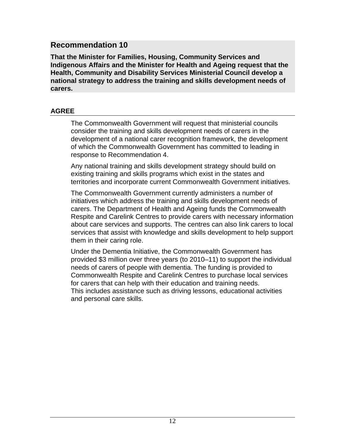**That the Minister for Families, Housing, Community Services and Indigenous Affairs and the Minister for Health and Ageing request that the Health, Community and Disability Services Ministerial Council develop a national strategy to address the training and skills development needs of carers.**

#### **AGREE**

The Commonwealth Government will request that ministerial councils consider the training and skills development needs of carers in the development of a national carer recognition framework, the development of which the Commonwealth Government has committed to leading in response to Recommendation 4.

Any national training and skills development strategy should build on existing training and skills programs which exist in the states and territories and incorporate current Commonwealth Government initiatives.

The Commonwealth Government currently administers a number of initiatives which address the training and skills development needs of carers. The Department of Health and Ageing funds the Commonwealth Respite and Carelink Centres to provide carers with necessary information about care services and supports. The centres can also link carers to local services that assist with knowledge and skills development to help support them in their caring role.

Under the Dementia Initiative, the Commonwealth Government has provided \$3 million over three years (to 2010–11) to support the individual needs of carers of people with dementia. The funding is provided to Commonwealth Respite and Carelink Centres to purchase local services for carers that can help with their education and training needs. This includes assistance such as driving lessons, educational activities and personal care skills.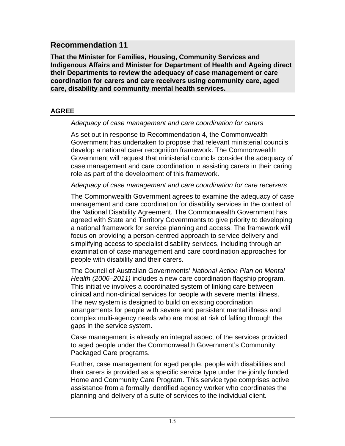**That the Minister for Families, Housing, Community Services and Indigenous Affairs and Minister for Department of Health and Ageing direct their Departments to review the adequacy of case management or care coordination for carers and care receivers using community care, aged care, disability and community mental health services.**

#### **AGREE**

#### *Adequacy of case management and care coordination for carers*

As set out in response to Recommendation 4, the Commonwealth Government has undertaken to propose that relevant ministerial councils develop a national carer recognition framework. The Commonwealth Government will request that ministerial councils consider the adequacy of case management and care coordination in assisting carers in their caring role as part of the development of this framework.

*Adequacy of case management and care coordination for care receivers*

The Commonwealth Government agrees to examine the adequacy of case management and care coordination for disability services in the context of the National Disability Agreement. The Commonwealth Government has agreed with State and Territory Governments to give priority to developing a national framework for service planning and access. The framework will focus on providing a person-centred approach to service delivery and simplifying access to specialist disability services, including through an examination of case management and care coordination approaches for people with disability and their carers.

The Council of Australian Governments' *National Action Plan on Mental Health (2006–2011)* includes a new care coordination flagship program. This initiative involves a coordinated system of linking care between clinical and non-clinical services for people with severe mental illness. The new system is designed to build on existing coordination arrangements for people with severe and persistent mental illness and complex multi-agency needs who are most at risk of falling through the gaps in the service system.

Case management is already an integral aspect of the services provided to aged people under the Commonwealth Government's Community Packaged Care programs.

Further, case management for aged people, people with disabilities and their carers is provided as a specific service type under the jointly funded Home and Community Care Program. This service type comprises active assistance from a formally identified agency worker who coordinates the planning and delivery of a suite of services to the individual client.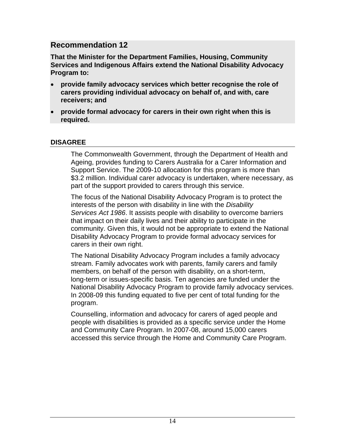**That the Minister for the Department Families, Housing, Community Services and Indigenous Affairs extend the National Disability Advocacy Program to:**

- **provide family advocacy services which better recognise the role of carers providing individual advocacy on behalf of, and with, care receivers; and**
- **provide formal advocacy for carers in their own right when this is required.**

#### **DISAGREE**

The Commonwealth Government, through the Department of Health and Ageing, provides funding to Carers Australia for a Carer Information and Support Service. The 2009-10 allocation for this program is more than \$3.2 million. Individual carer advocacy is undertaken, where necessary, as part of the support provided to carers through this service.

The focus of the National Disability Advocacy Program is to protect the interests of the person with disability in line with the *Disability Services Act 1986*. It assists people with disability to overcome barriers that impact on their daily lives and their ability to participate in the community. Given this, it would not be appropriate to extend the National Disability Advocacy Program to provide formal advocacy services for carers in their own right.

The National Disability Advocacy Program includes a family advocacy stream. Family advocates work with parents, family carers and family members, on behalf of the person with disability, on a short-term, long-term or issues-specific basis. Ten agencies are funded under the National Disability Advocacy Program to provide family advocacy services. In 2008-09 this funding equated to five per cent of total funding for the program.

Counselling, information and advocacy for carers of aged people and people with disabilities is provided as a specific service under the Home and Community Care Program. In 2007-08, around 15,000 carers accessed this service through the Home and Community Care Program.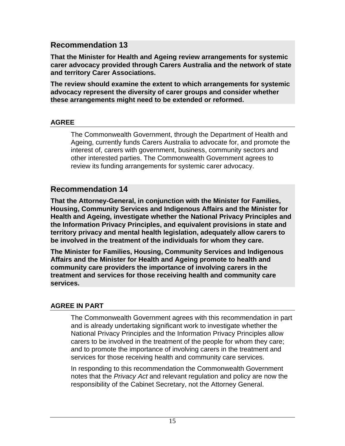**That the Minister for Health and Ageing review arrangements for systemic carer advocacy provided through Carers Australia and the network of state and territory Carer Associations.**

**The review should examine the extent to which arrangements for systemic advocacy represent the diversity of carer groups and consider whether these arrangements might need to be extended or reformed.**

#### **AGREE**

The Commonwealth Government, through the Department of Health and Ageing, currently funds Carers Australia to advocate for, and promote the interest of, carers with government, business, community sectors and other interested parties. The Commonwealth Government agrees to review its funding arrangements for systemic carer advocacy.

## **Recommendation 14**

**That the Attorney-General, in conjunction with the Minister for Families, Housing, Community Services and Indigenous Affairs and the Minister for Health and Ageing, investigate whether the National Privacy Principles and the Information Privacy Principles, and equivalent provisions in state and territory privacy and mental health legislation, adequately allow carers to be involved in the treatment of the individuals for whom they care.**

**The Minister for Families, Housing, Community Services and Indigenous Affairs and the Minister for Health and Ageing promote to health and community care providers the importance of involving carers in the treatment and services for those receiving health and community care services.**

#### **AGREE IN PART**

The Commonwealth Government agrees with this recommendation in part and is already undertaking significant work to investigate whether the National Privacy Principles and the Information Privacy Principles allow carers to be involved in the treatment of the people for whom they care; and to promote the importance of involving carers in the treatment and services for those receiving health and community care services.

In responding to this recommendation the Commonwealth Government notes that the *Privacy Act* and relevant regulation and policy are now the responsibility of the Cabinet Secretary, not the Attorney General.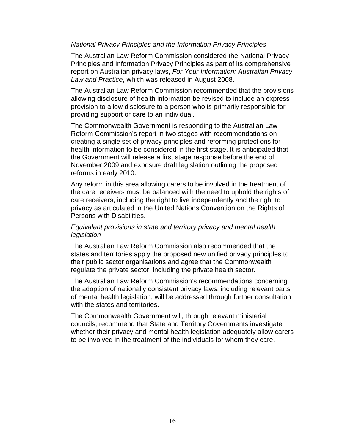#### *National Privacy Principles and the Information Privacy Principles*

The Australian Law Reform Commission considered the National Privacy Principles and Information Privacy Principles as part of its comprehensive report on Australian privacy laws, *For Your Information: Australian Privacy Law and Practice*, which was released in August 2008.

The Australian Law Reform Commission recommended that the provisions allowing disclosure of health information be revised to include an express provision to allow disclosure to a person who is primarily responsible for providing support or care to an individual.

The Commonwealth Government is responding to the Australian Law Reform Commission's report in two stages with recommendations on creating a single set of privacy principles and reforming protections for health information to be considered in the first stage. It is anticipated that the Government will release a first stage response before the end of November 2009 and exposure draft legislation outlining the proposed reforms in early 2010.

Any reform in this area allowing carers to be involved in the treatment of the care receivers must be balanced with the need to uphold the rights of care receivers, including the right to live independently and the right to privacy as articulated in the United Nations Convention on the Rights of Persons with Disabilities.

#### *Equivalent provisions in state and territory privacy and mental health legislation*

The Australian Law Reform Commission also recommended that the states and territories apply the proposed new unified privacy principles to their public sector organisations and agree that the Commonwealth regulate the private sector, including the private health sector.

The Australian Law Reform Commission's recommendations concerning the adoption of nationally consistent privacy laws, including relevant parts of mental health legislation, will be addressed through further consultation with the states and territories.

The Commonwealth Government will, through relevant ministerial councils, recommend that State and Territory Governments investigate whether their privacy and mental health legislation adequately allow carers to be involved in the treatment of the individuals for whom they care.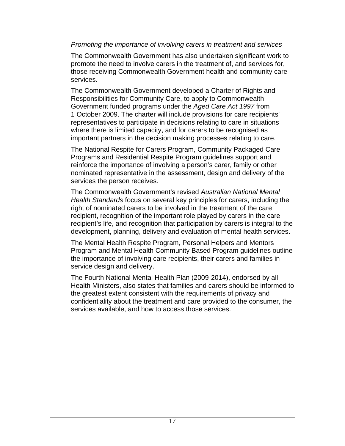#### *Promoting the importance of involving carers in treatment and services*

The Commonwealth Government has also undertaken significant work to promote the need to involve carers in the treatment of, and services for, those receiving Commonwealth Government health and community care services.

The Commonwealth Government developed a Charter of Rights and Responsibilities for Community Care, to apply to Commonwealth Government funded programs under the *Aged Care Act 1997* from 1 October 2009. The charter will include provisions for care recipients' representatives to participate in decisions relating to care in situations where there is limited capacity, and for carers to be recognised as important partners in the decision making processes relating to care.

The National Respite for Carers Program, Community Packaged Care Programs and Residential Respite Program guidelines support and reinforce the importance of involving a person's carer, family or other nominated representative in the assessment, design and delivery of the services the person receives.

The Commonwealth Government's revised *Australian National Mental Health Standards* focus on several key principles for carers, including the right of nominated carers to be involved in the treatment of the care recipient, recognition of the important role played by carers in the care recipient's life, and recognition that participation by carers is integral to the development, planning, delivery and evaluation of mental health services.

The Mental Health Respite Program, Personal Helpers and Mentors Program and Mental Health Community Based Program guidelines outline the importance of involving care recipients, their carers and families in service design and delivery.

The Fourth National Mental Health Plan (2009-2014), endorsed by all Health Ministers, also states that families and carers should be informed to the greatest extent consistent with the requirements of privacy and confidentiality about the treatment and care provided to the consumer, the services available, and how to access those services.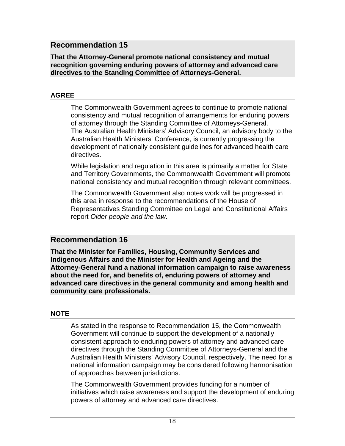#### **That the Attorney-General promote national consistency and mutual recognition governing enduring powers of attorney and advanced care directives to the Standing Committee of Attorneys-General.**

#### **AGREE**

The Commonwealth Government agrees to continue to promote national consistency and mutual recognition of arrangements for enduring powers of attorney through the Standing Committee of Attorneys-General. The Australian Health Ministers' Advisory Council, an advisory body to the Australian Health Ministers' Conference, is currently progressing the development of nationally consistent guidelines for advanced health care directives.

While legislation and regulation in this area is primarily a matter for State and Territory Governments, the Commonwealth Government will promote national consistency and mutual recognition through relevant committees.

The Commonwealth Government also notes work will be progressed in this area in response to the recommendations of the House of Representatives Standing Committee on Legal and Constitutional Affairs report *Older people and the law*.

### **Recommendation 16**

**That the Minister for Families, Housing, Community Services and Indigenous Affairs and the Minister for Health and Ageing and the Attorney-General fund a national information campaign to raise awareness about the need for, and benefits of, enduring powers of attorney and advanced care directives in the general community and among health and community care professionals.**

#### **NOTE**

As stated in the response to Recommendation 15, the Commonwealth Government will continue to support the development of a nationally consistent approach to enduring powers of attorney and advanced care directives through the Standing Committee of Attorneys-General and the Australian Health Ministers' Advisory Council, respectively. The need for a national information campaign may be considered following harmonisation of approaches between jurisdictions.

The Commonwealth Government provides funding for a number of initiatives which raise awareness and support the development of enduring powers of attorney and advanced care directives.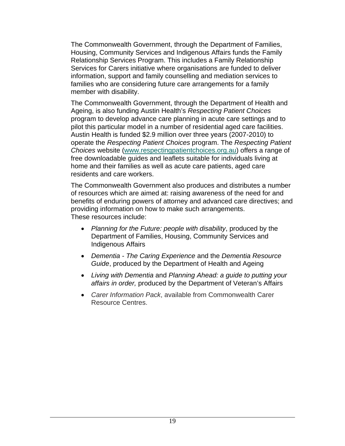The Commonwealth Government, through the Department of Families, Housing, Community Services and Indigenous Affairs funds the Family Relationship Services Program. This includes a Family Relationship Services for Carers initiative where organisations are funded to deliver information, support and family counselling and mediation services to families who are considering future care arrangements for a family member with disability.

The Commonwealth Government, through the Department of Health and Ageing, is also funding Austin Health's *Respecting Patient Choices* program to develop advance care planning in acute care settings and to pilot this particular model in a number of residential aged care facilities. Austin Health is funded \$2.9 million over three years (2007-2010) to operate the *Respecting Patient Choices* program. The *Respecting Patient Choices* website (www.respectingpatientchoices.org.au) offers a range of free downloadable guides and leaflets suitable for individuals living at home and their families as well as acute care patients, aged care residents and care workers.

The Commonwealth Government also produces and distributes a number of resources which are aimed at: raising awareness of the need for and benefits of enduring powers of attorney and advanced care directives; and providing information on how to make such arrangements. These resources include:

- *Planning for the Future: people with disability*, produced by the Department of Families, Housing, Community Services and Indigenous Affairs
- *Dementia The Caring Experience* and the *Dementia Resource Guide*, produced by the Department of Health and Ageing
- *Living with Dementia* and *Planning Ahead: a guide to putting your affairs in order,* produced by the Department of Veteran's Affairs
- *Carer Information Pack*, available from Commonwealth Carer Resource Centres.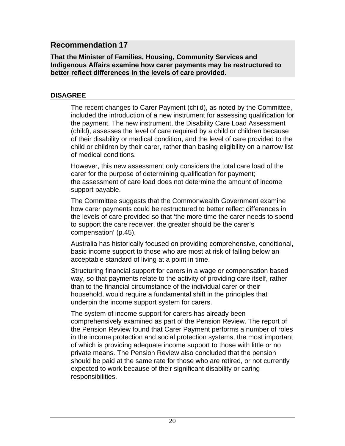#### **That the Minister of Families, Housing, Community Services and Indigenous Affairs examine how carer payments may be restructured to better reflect differences in the levels of care provided.**

#### **DISAGREE**

The recent changes to Carer Payment (child), as noted by the Committee, included the introduction of a new instrument for assessing qualification for the payment. The new instrument, the Disability Care Load Assessment (child), assesses the level of care required by a child or children because of their disability or medical condition, and the level of care provided to the child or children by their carer, rather than basing eligibility on a narrow list of medical conditions.

However, this new assessment only considers the total care load of the carer for the purpose of determining qualification for payment; the assessment of care load does not determine the amount of income support payable.

The Committee suggests that the Commonwealth Government examine how carer payments could be restructured to better reflect differences in the levels of care provided so that 'the more time the carer needs to spend to support the care receiver, the greater should be the carer's compensation' (p.45).

Australia has historically focused on providing comprehensive, conditional, basic income support to those who are most at risk of falling below an acceptable standard of living at a point in time.

Structuring financial support for carers in a wage or compensation based way, so that payments relate to the activity of providing care itself, rather than to the financial circumstance of the individual carer or their household, would require a fundamental shift in the principles that underpin the income support system for carers.

The system of income support for carers has already been comprehensively examined as part of the Pension Review. The report of the Pension Review found that Carer Payment performs a number of roles in the income protection and social protection systems, the most important of which is providing adequate income support to those with little or no private means. The Pension Review also concluded that the pension should be paid at the same rate for those who are retired, or not currently expected to work because of their significant disability or caring responsibilities.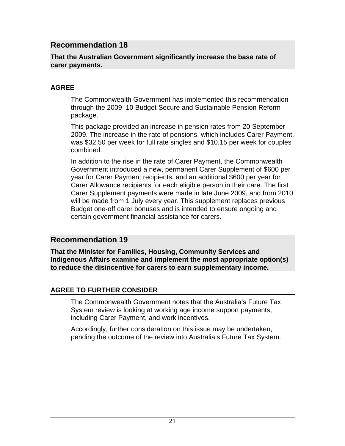#### **That the Australian Government significantly increase the base rate of carer payments.**

#### **AGREE**

The Commonwealth Government has implemented this recommendation through the 2009–10 Budget Secure and Sustainable Pension Reform package.

This package provided an increase in pension rates from 20 September 2009. The increase in the rate of pensions, which includes Carer Payment, was \$32.50 per week for full rate singles and \$10.15 per week for couples combined.

In addition to the rise in the rate of Carer Payment, the Commonwealth Government introduced a new, permanent Carer Supplement of \$600 per year for Carer Payment recipients, and an additional \$600 per year for Carer Allowance recipients for each eligible person in their care. The first Carer Supplement payments were made in late June 2009, and from 2010 will be made from 1 July every year. This supplement replaces previous Budget one-off carer bonuses and is intended to ensure ongoing and certain government financial assistance for carers.

### **Recommendation 19**

**That the Minister for Families, Housing, Community Services and Indigenous Affairs examine and implement the most appropriate option(s) to reduce the disincentive for carers to earn supplementary income.**

#### **AGREE TO FURTHER CONSIDER**

The Commonwealth Government notes that the Australia's Future Tax System review is looking at working age income support payments, including Carer Payment, and work incentives.

Accordingly, further consideration on this issue may be undertaken, pending the outcome of the review into Australia's Future Tax System.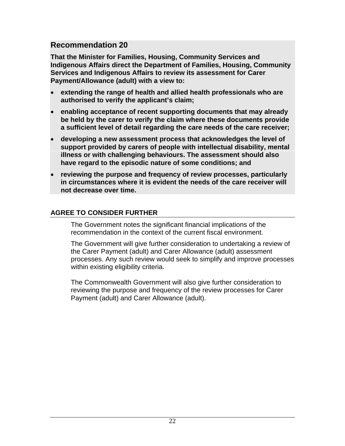**That the Minister for Families, Housing, Community Services and Indigenous Affairs direct the Department of Families, Housing, Community Services and Indigenous Affairs to review its assessment for Carer Payment/Allowance (adult) with a view to:**

- **extending the range of health and allied health professionals who are authorised to verify the applicant's claim;**
- **enabling acceptance of recent supporting documents that may already be held by the carer to verify the claim where these documents provide a sufficient level of detail regarding the care needs of the care receiver;**
- **developing a new assessment process that acknowledges the level of support provided by carers of people with intellectual disability, mental illness or with challenging behaviours. The assessment should also have regard to the episodic nature of some conditions; and**
- **reviewing the purpose and frequency of review processes, particularly in circumstances where it is evident the needs of the care receiver will not decrease over time.**

#### **AGREE TO CONSIDER FURTHER**

The Government notes the significant financial implications of the recommendation in the context of the current fiscal environment.

The Government will give further consideration to undertaking a review of the Carer Payment (adult) and Carer Allowance (adult) assessment processes. Any such review would seek to simplify and improve processes within existing eligibility criteria.

The Commonwealth Government will also give further consideration to reviewing the purpose and frequency of the review processes for Carer Payment (adult) and Carer Allowance (adult).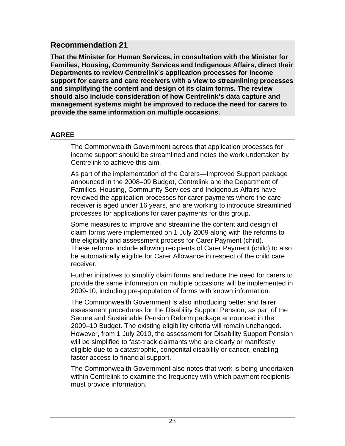**That the Minister for Human Services, in consultation with the Minister for Families, Housing, Community Services and Indigenous Affairs, direct their Departments to review Centrelink's application processes for income support for carers and care receivers with a view to streamlining processes and simplifying the content and design of its claim forms. The review should also include consideration of how Centrelink's data capture and management systems might be improved to reduce the need for carers to provide the same information on multiple occasions.**

#### **AGREE**

The Commonwealth Government agrees that application processes for income support should be streamlined and notes the work undertaken by Centrelink to achieve this aim.

As part of the implementation of the Carers—Improved Support package announced in the 2008–09 Budget, Centrelink and the Department of Families, Housing, Community Services and Indigenous Affairs have reviewed the application processes for carer payments where the care receiver is aged under 16 years, and are working to introduce streamlined processes for applications for carer payments for this group.

Some measures to improve and streamline the content and design of claim forms were implemented on 1 July 2009 along with the reforms to the eligibility and assessment process for Carer Payment (child). These reforms include allowing recipients of Carer Payment (child) to also be automatically eligible for Carer Allowance in respect of the child care receiver.

Further initiatives to simplify claim forms and reduce the need for carers to provide the same information on multiple occasions will be implemented in 2009-10, including pre-population of forms with known information.

The Commonwealth Government is also introducing better and fairer assessment procedures for the Disability Support Pension, as part of the Secure and Sustainable Pension Reform package announced in the 2009–10 Budget. The existing eligibility criteria will remain unchanged. However, from 1 July 2010, the assessment for Disability Support Pension will be simplified to fast-track claimants who are clearly or manifestly eligible due to a catastrophic, congenital disability or cancer, enabling faster access to financial support.

The Commonwealth Government also notes that work is being undertaken within Centrelink to examine the frequency with which payment recipients must provide information.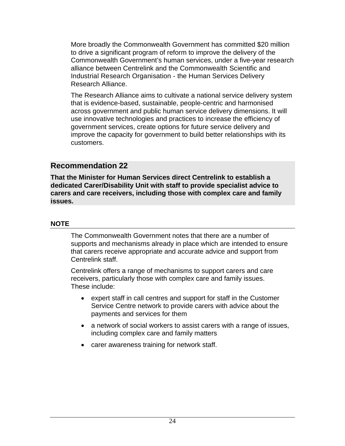More broadly the Commonwealth Government has committed \$20 million to drive a significant program of reform to improve the delivery of the Commonwealth Government's human services, under a five-year research alliance between Centrelink and the Commonwealth Scientific and Industrial Research Organisation - the Human Services Delivery Research Alliance.

The Research Alliance aims to cultivate a national service delivery system that is evidence-based, sustainable, people-centric and harmonised across government and public human service delivery dimensions. It will use innovative technologies and practices to increase the efficiency of government services, create options for future service delivery and improve the capacity for government to build better relationships with its customers.

#### **Recommendation 22**

**That the Minister for Human Services direct Centrelink to establish a dedicated Carer/Disability Unit with staff to provide specialist advice to carers and care receivers, including those with complex care and family issues.**

#### **NOTE**

The Commonwealth Government notes that there are a number of supports and mechanisms already in place which are intended to ensure that carers receive appropriate and accurate advice and support from Centrelink staff.

Centrelink offers a range of mechanisms to support carers and care receivers, particularly those with complex care and family issues. These include:

- expert staff in call centres and support for staff in the Customer Service Centre network to provide carers with advice about the payments and services for them
- a network of social workers to assist carers with a range of issues, including complex care and family matters
- carer awareness training for network staff.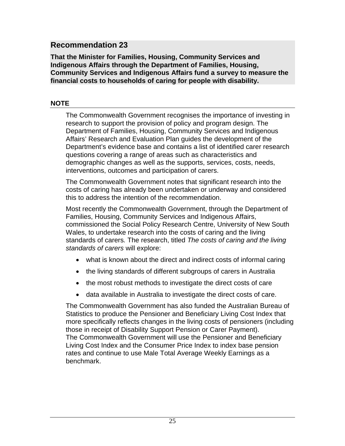**That the Minister for Families, Housing, Community Services and Indigenous Affairs through the Department of Families, Housing, Community Services and Indigenous Affairs fund a survey to measure the financial costs to households of caring for people with disability.**

#### **NOTE**

The Commonwealth Government recognises the importance of investing in research to support the provision of policy and program design. The Department of Families, Housing, Community Services and Indigenous Affairs' Research and Evaluation Plan guides the development of the Department's evidence base and contains a list of identified carer research questions covering a range of areas such as characteristics and demographic changes as well as the supports, services, costs, needs, interventions, outcomes and participation of carers.

The Commonwealth Government notes that significant research into the costs of caring has already been undertaken or underway and considered this to address the intention of the recommendation.

Most recently the Commonwealth Government, through the Department of Families, Housing, Community Services and Indigenous Affairs, commissioned the Social Policy Research Centre, University of New South Wales, to undertake research into the costs of caring and the living standards of carers*.* The research, titled *The costs of caring and the living standards of carers* will explore:

- what is known about the direct and indirect costs of informal caring
- the living standards of different subgroups of carers in Australia
- the most robust methods to investigate the direct costs of care
- data available in Australia to investigate the direct costs of care.

The Commonwealth Government has also funded the Australian Bureau of Statistics to produce the Pensioner and Beneficiary Living Cost Index that more specifically reflects changes in the living costs of pensioners (including those in receipt of Disability Support Pension or Carer Payment). The Commonwealth Government will use the Pensioner and Beneficiary Living Cost Index and the Consumer Price Index to index base pension rates and continue to use Male Total Average Weekly Earnings as a benchmark.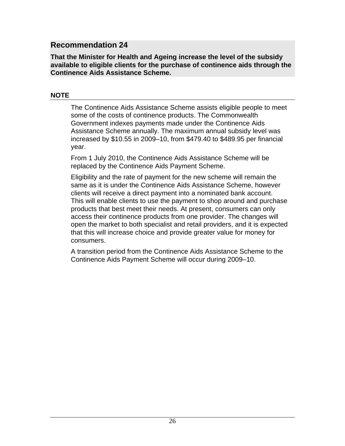**That the Minister for Health and Ageing increase the level of the subsidy available to eligible clients for the purchase of continence aids through the Continence Aids Assistance Scheme.**

#### **NOTE**

The Continence Aids Assistance Scheme assists eligible people to meet some of the costs of continence products. The Commonwealth Government indexes payments made under the Continence Aids Assistance Scheme annually. The maximum annual subsidy level was increased by \$10.55 in 2009–10, from \$479.40 to \$489.95 per financial year.

From 1 July 2010, the Continence Aids Assistance Scheme will be replaced by the Continence Aids Payment Scheme.

Eligibility and the rate of payment for the new scheme will remain the same as it is under the Continence Aids Assistance Scheme, however clients will receive a direct payment into a nominated bank account. This will enable clients to use the payment to shop around and purchase products that best meet their needs. At present, consumers can only access their continence products from one provider. The changes will open the market to both specialist and retail providers, and it is expected that this will increase choice and provide greater value for money for consumers.

A transition period from the Continence Aids Assistance Scheme to the Continence Aids Payment Scheme will occur during 2009–10.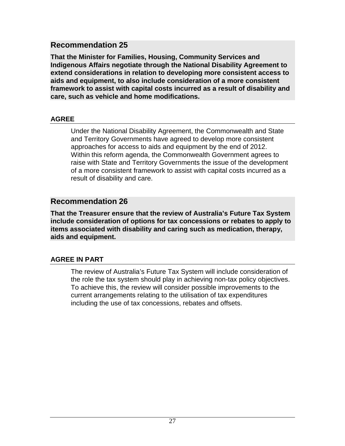**That the Minister for Families, Housing, Community Services and Indigenous Affairs negotiate through the National Disability Agreement to extend considerations in relation to developing more consistent access to aids and equipment, to also include consideration of a more consistent framework to assist with capital costs incurred as a result of disability and care, such as vehicle and home modifications.**

#### **AGREE**

Under the National Disability Agreement, the Commonwealth and State and Territory Governments have agreed to develop more consistent approaches for access to aids and equipment by the end of 2012. Within this reform agenda, the Commonwealth Government agrees to raise with State and Territory Governments the issue of the development of a more consistent framework to assist with capital costs incurred as a result of disability and care.

## **Recommendation 26**

**That the Treasurer ensure that the review of Australia's Future Tax System include consideration of options for tax concessions or rebates to apply to items associated with disability and caring such as medication, therapy, aids and equipment.**

### **AGREE IN PART**

The review of Australia's Future Tax System will include consideration of the role the tax system should play in achieving non-tax policy objectives. To achieve this, the review will consider possible improvements to the current arrangements relating to the utilisation of tax expenditures including the use of tax concessions, rebates and offsets.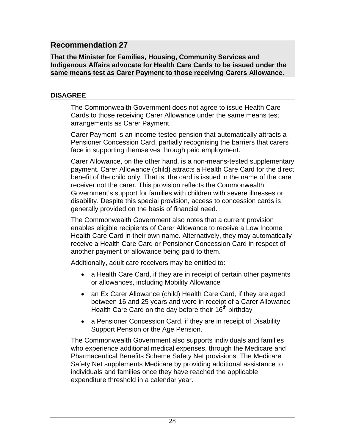**That the Minister for Families, Housing, Community Services and Indigenous Affairs advocate for Health Care Cards to be issued under the same means test as Carer Payment to those receiving Carers Allowance.**

#### **DISAGREE**

The Commonwealth Government does not agree to issue Health Care Cards to those receiving Carer Allowance under the same means test arrangements as Carer Payment.

Carer Payment is an income-tested pension that automatically attracts a Pensioner Concession Card, partially recognising the barriers that carers face in supporting themselves through paid employment.

Carer Allowance, on the other hand, is a non-means-tested supplementary payment. Carer Allowance (child) attracts a Health Care Card for the direct benefit of the child only. That is, the card is issued in the name of the care receiver not the carer. This provision reflects the Commonwealth Government's support for families with children with severe illnesses or disability. Despite this special provision, access to concession cards is generally provided on the basis of financial need.

The Commonwealth Government also notes that a current provision enables eligible recipients of Carer Allowance to receive a Low Income Health Care Card in their own name. Alternatively, they may automatically receive a Health Care Card or Pensioner Concession Card in respect of another payment or allowance being paid to them.

Additionally, adult care receivers may be entitled to:

- a Health Care Card, if they are in receipt of certain other payments or allowances, including Mobility Allowance
- an Ex Carer Allowance (child) Health Care Card, if they are aged between 16 and 25 years and were in receipt of a Carer Allowance Health Care Card on the day before their 16<sup>th</sup> birthday
- a Pensioner Concession Card, if they are in receipt of Disability Support Pension or the Age Pension.

The Commonwealth Government also supports individuals and families who experience additional medical expenses, through the Medicare and Pharmaceutical Benefits Scheme Safety Net provisions. The Medicare Safety Net supplements Medicare by providing additional assistance to individuals and families once they have reached the applicable expenditure threshold in a calendar year.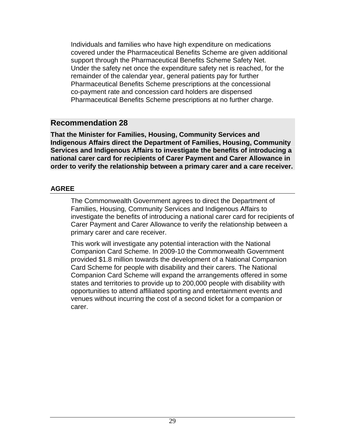Individuals and families who have high expenditure on medications covered under the Pharmaceutical Benefits Scheme are given additional support through the Pharmaceutical Benefits Scheme Safety Net. Under the safety net once the expenditure safety net is reached, for the remainder of the calendar year, general patients pay for further Pharmaceutical Benefits Scheme prescriptions at the concessional co-payment rate and concession card holders are dispensed Pharmaceutical Benefits Scheme prescriptions at no further charge.

### **Recommendation 28**

**That the Minister for Families, Housing, Community Services and Indigenous Affairs direct the Department of Families, Housing, Community Services and Indigenous Affairs to investigate the benefits of introducing a national carer card for recipients of Carer Payment and Carer Allowance in order to verify the relationship between a primary carer and a care receiver.**

#### **AGREE**

The Commonwealth Government agrees to direct the Department of Families, Housing, Community Services and Indigenous Affairs to investigate the benefits of introducing a national carer card for recipients of Carer Payment and Carer Allowance to verify the relationship between a primary carer and care receiver.

This work will investigate any potential interaction with the National Companion Card Scheme. In 2009-10 the Commonwealth Government provided \$1.8 million towards the development of a National Companion Card Scheme for people with disability and their carers. The National Companion Card Scheme will expand the arrangements offered in some states and territories to provide up to 200,000 people with disability with opportunities to attend affiliated sporting and entertainment events and venues without incurring the cost of a second ticket for a companion or carer.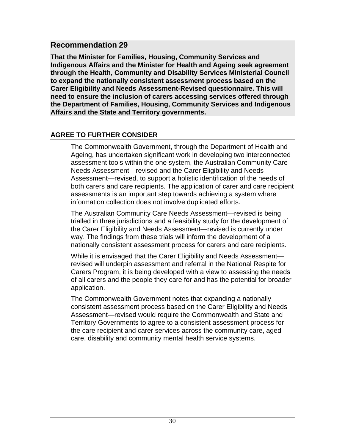**That the Minister for Families, Housing, Community Services and Indigenous Affairs and the Minister for Health and Ageing seek agreement through the Health, Community and Disability Services Ministerial Council to expand the nationally consistent assessment process based on the Carer Eligibility and Needs Assessment-Revised questionnaire. This will need to ensure the inclusion of carers accessing services offered through the Department of Families, Housing, Community Services and Indigenous Affairs and the State and Territory governments.**

#### **AGREE TO FURTHER CONSIDER**

The Commonwealth Government, through the Department of Health and Ageing, has undertaken significant work in developing two interconnected assessment tools within the one system, the Australian Community Care Needs Assessment—revised and the Carer Eligibility and Needs Assessment—revised, to support a holistic identification of the needs of both carers and care recipients. The application of carer and care recipient assessments is an important step towards achieving a system where information collection does not involve duplicated efforts.

The Australian Community Care Needs Assessment—revised is being trialled in three jurisdictions and a feasibility study for the development of the Carer Eligibility and Needs Assessment—revised is currently under way. The findings from these trials will inform the development of a nationally consistent assessment process for carers and care recipients.

While it is envisaged that the Carer Eligibility and Needs Assessment revised will underpin assessment and referral in the National Respite for Carers Program, it is being developed with a view to assessing the needs of all carers and the people they care for and has the potential for broader application.

The Commonwealth Government notes that expanding a nationally consistent assessment process based on the Carer Eligibility and Needs Assessment—revised would require the Commonwealth and State and Territory Governments to agree to a consistent assessment process for the care recipient and carer services across the community care, aged care, disability and community mental health service systems.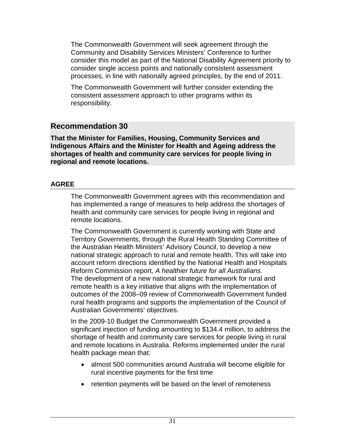The Commonwealth Government will seek agreement through the Community and Disability Services Ministers' Conference to further consider this model as part of the National Disability Agreement priority to consider single access points and nationally consistent assessment processes, in line with nationally agreed principles, by the end of 2011.

The Commonwealth Government will further consider extending the consistent assessment approach to other programs within its responsibility.

## **Recommendation 30**

**That the Minister for Families, Housing, Community Services and Indigenous Affairs and the Minister for Health and Ageing address the shortages of health and community care services for people living in regional and remote locations.**

#### **AGREE**

The Commonwealth Government agrees with this recommendation and has implemented a range of measures to help address the shortages of health and community care services for people living in regional and remote locations.

The Commonwealth Government is currently working with State and Territory Governments, through the Rural Health Standing Committee of the Australian Health Ministers' Advisory Council, to develop a new national strategic approach to rural and remote health. This will take into account reform directions identified by the National Health and Hospitals Reform Commission report, *A healthier future for all Australians*. The development of a new national strategic framework for rural and remote health is a key initiative that aligns with the implementation of outcomes of the 2008–09 review of Commonwealth Government funded rural health programs and supports the implementation of the Council of Australian Governments' objectives.

In the 2009-10 Budget the Commonwealth Government provided a significant injection of funding amounting to \$134.4 million, to address the shortage of health and community care services for people living in rural and remote locations in Australia. Reforms implemented under the rural health package mean that:

- almost 500 communities around Australia will become eligible for rural incentive payments for the first time
- retention payments will be based on the level of remoteness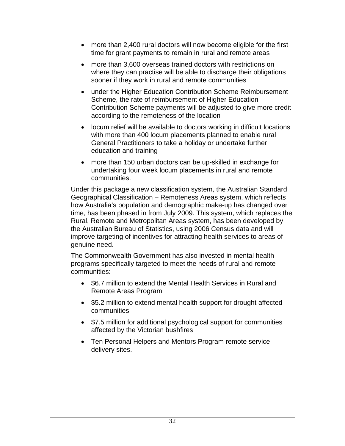- more than 2,400 rural doctors will now become eligible for the first time for grant payments to remain in rural and remote areas
- more than 3,600 overseas trained doctors with restrictions on where they can practise will be able to discharge their obligations sooner if they work in rural and remote communities
- under the Higher Education Contribution Scheme Reimbursement Scheme, the rate of reimbursement of Higher Education Contribution Scheme payments will be adjusted to give more credit according to the remoteness of the location
- locum relief will be available to doctors working in difficult locations with more than 400 locum placements planned to enable rural General Practitioners to take a holiday or undertake further education and training
- more than 150 urban doctors can be up-skilled in exchange for undertaking four week locum placements in rural and remote communities.

Under this package a new classification system, the Australian Standard Geographical Classification – Remoteness Areas system, which reflects how Australia's population and demographic make-up has changed over time, has been phased in from July 2009. This system, which replaces the Rural, Remote and Metropolitan Areas system, has been developed by the Australian Bureau of Statistics, using 2006 Census data and will improve targeting of incentives for attracting health services to areas of genuine need.

The Commonwealth Government has also invested in mental health programs specifically targeted to meet the needs of rural and remote communities:

- \$6.7 million to extend the Mental Health Services in Rural and Remote Areas Program
- \$5.2 million to extend mental health support for drought affected communities
- \$7.5 million for additional psychological support for communities affected by the Victorian bushfires
- Ten Personal Helpers and Mentors Program remote service delivery sites.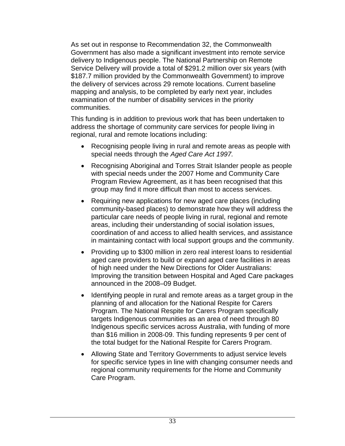As set out in response to Recommendation 32, the Commonwealth Government has also made a significant investment into remote service delivery to Indigenous people. The National Partnership on Remote Service Delivery will provide a total of \$291.2 million over six years (with \$187.7 million provided by the Commonwealth Government) to improve the delivery of services across 29 remote locations. Current baseline mapping and analysis, to be completed by early next year, includes examination of the number of disability services in the priority communities.

This funding is in addition to previous work that has been undertaken to address the shortage of community care services for people living in regional, rural and remote locations including:

- Recognising people living in rural and remote areas as people with special needs through the *Aged Care Act 1997.*
- Recognising Aboriginal and Torres Strait Islander people as people with special needs under the 2007 Home and Community Care Program Review Agreement, as it has been recognised that this group may find it more difficult than most to access services.
- Requiring new applications for new aged care places (including community-based places) to demonstrate how they will address the particular care needs of people living in rural, regional and remote areas, including their understanding of social isolation issues, coordination of and access to allied health services, and assistance in maintaining contact with local support groups and the community.
- Providing up to \$300 million in zero real interest loans to residential aged care providers to build or expand aged care facilities in areas of high need under the New Directions for Older Australians: Improving the transition between Hospital and Aged Care packages announced in the 2008–09 Budget.
- Identifying people in rural and remote areas as a target group in the planning of and allocation for the National Respite for Carers Program. The National Respite for Carers Program specifically targets Indigenous communities as an area of need through 80 Indigenous specific services across Australia, with funding of more than \$16 million in 2008-09. This funding represents 9 per cent of the total budget for the National Respite for Carers Program.
- Allowing State and Territory Governments to adjust service levels for specific service types in line with changing consumer needs and regional community requirements for the Home and Community Care Program.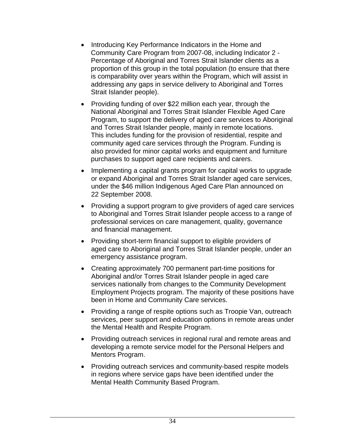- Introducing Key Performance Indicators in the Home and Community Care Program from 2007-08, including Indicator 2 - Percentage of Aboriginal and Torres Strait Islander clients as a proportion of this group in the total population (to ensure that there is comparability over years within the Program, which will assist in addressing any gaps in service delivery to Aboriginal and Torres Strait Islander people).
- Providing funding of over \$22 million each year, through the National Aboriginal and Torres Strait Islander Flexible Aged Care Program, to support the delivery of aged care services to Aboriginal and Torres Strait Islander people, mainly in remote locations. This includes funding for the provision of residential, respite and community aged care services through the Program. Funding is also provided for minor capital works and equipment and furniture purchases to support aged care recipients and carers.
- Implementing a capital grants program for capital works to upgrade or expand Aboriginal and Torres Strait Islander aged care services, under the \$46 million Indigenous Aged Care Plan announced on 22 September 2008.
- Providing a support program to give providers of aged care services to Aboriginal and Torres Strait Islander people access to a range of professional services on care management, quality, governance and financial management.
- Providing short-term financial support to eligible providers of aged care to Aboriginal and Torres Strait Islander people, under an emergency assistance program.
- Creating approximately 700 permanent part-time positions for Aboriginal and/or Torres Strait Islander people in aged care services nationally from changes to the Community Development Employment Projects program. The majority of these positions have been in Home and Community Care services.
- Providing a range of respite options such as Troopie Van, outreach services, peer support and education options in remote areas under the Mental Health and Respite Program.
- Providing outreach services in regional rural and remote areas and developing a remote service model for the Personal Helpers and Mentors Program.
- Providing outreach services and community-based respite models in regions where service gaps have been identified under the Mental Health Community Based Program.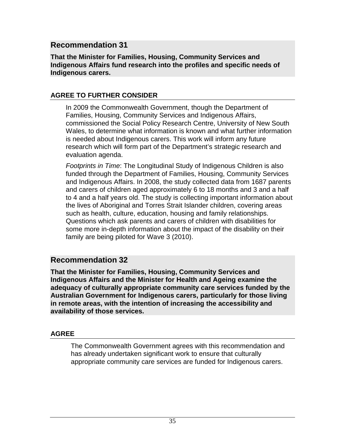**That the Minister for Families, Housing, Community Services and Indigenous Affairs fund research into the profiles and specific needs of Indigenous carers.**

#### **AGREE TO FURTHER CONSIDER**

In 2009 the Commonwealth Government, though the Department of Families, Housing, Community Services and Indigenous Affairs, commissioned the Social Policy Research Centre, University of New South Wales, to determine what information is known and what further information is needed about Indigenous carers. This work will inform any future research which will form part of the Department's strategic research and evaluation agenda.

*Footprints in Time*: The Longitudinal Study of Indigenous Children is also funded through the Department of Families, Housing, Community Services and Indigenous Affairs. In 2008, the study collected data from 1687 parents and carers of children aged approximately 6 to 18 months and 3 and a half to 4 and a half years old. The study is collecting important information about the lives of Aboriginal and Torres Strait Islander children, covering areas such as health, culture, education, housing and family relationships. Questions which ask parents and carers of children with disabilities for some more in-depth information about the impact of the disability on their family are being piloted for Wave 3 (2010).

## **Recommendation 32**

**That the Minister for Families, Housing, Community Services and Indigenous Affairs and the Minister for Health and Ageing examine the adequacy of culturally appropriate community care services funded by the Australian Government for Indigenous carers, particularly for those living in remote areas, with the intention of increasing the accessibility and availability of those services.**

#### **AGREE**

The Commonwealth Government agrees with this recommendation and has already undertaken significant work to ensure that culturally appropriate community care services are funded for Indigenous carers.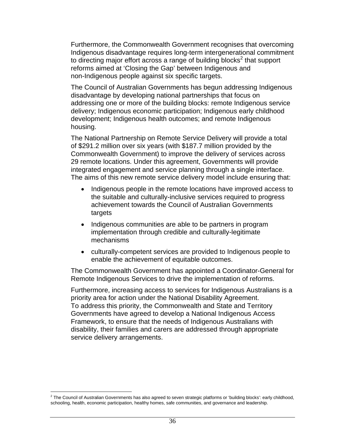Furthermore, the Commonwealth Government recognises that overcoming Indigenous disadvantage requires long-term intergenerational commitment to directing major effort across a range of building blocks<sup>2</sup> that support reforms aimed at 'Closing the Gap' between Indigenous and non-Indigenous people against six specific targets.

The Council of Australian Governments has begun addressing Indigenous disadvantage by developing national partnerships that focus on addressing one or more of the building blocks: remote Indigenous service delivery; Indigenous economic participation; Indigenous early childhood development; Indigenous health outcomes; and remote Indigenous housing.

The National Partnership on Remote Service Delivery will provide a total of \$291.2 million over six years (with \$187.7 million provided by the Commonwealth Government) to improve the delivery of services across 29 remote locations. Under this agreement, Governments will provide integrated engagement and service planning through a single interface. The aims of this new remote service delivery model include ensuring that:

- Indigenous people in the remote locations have improved access to the suitable and culturally-inclusive services required to progress achievement towards the Council of Australian Governments targets
- Indigenous communities are able to be partners in program implementation through credible and culturally-legitimate mechanisms
- culturally-competent services are provided to Indigenous people to enable the achievement of equitable outcomes.

The Commonwealth Government has appointed a Coordinator-General for Remote Indigenous Services to drive the implementation of reforms.

Furthermore, increasing access to services for Indigenous Australians is a priority area for action under the National Disability Agreement. To address this priority, the Commonwealth and State and Territory Governments have agreed to develop a National Indigenous Access Framework, to ensure that the needs of Indigenous Australians with disability, their families and carers are addressed through appropriate service delivery arrangements.

 $\overline{a}$  $2$  The Council of Australian Governments has also agreed to seven strategic platforms or 'building blocks': early childhood, schooling, health, economic participation, healthy homes, safe communities, and governance and leadership.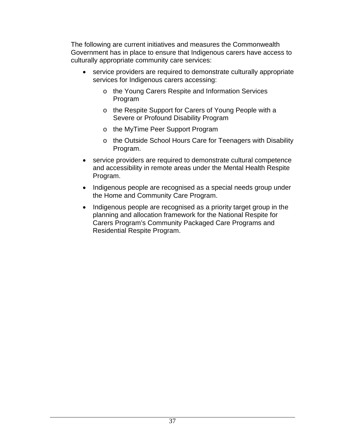The following are current initiatives and measures the Commonwealth Government has in place to ensure that Indigenous carers have access to culturally appropriate community care services:

- service providers are required to demonstrate culturally appropriate services for Indigenous carers accessing:
	- o the Young Carers Respite and Information Services Program
	- o the Respite Support for Carers of Young People with a Severe or Profound Disability Program
	- o the MyTime Peer Support Program
	- o the Outside School Hours Care for Teenagers with Disability Program.
- service providers are required to demonstrate cultural competence and accessibility in remote areas under the Mental Health Respite Program.
- Indigenous people are recognised as a special needs group under the Home and Community Care Program.
- Indigenous people are recognised as a priority target group in the planning and allocation framework for the National Respite for Carers Program's Community Packaged Care Programs and Residential Respite Program.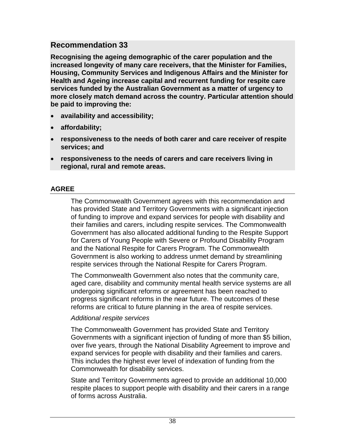**Recognising the ageing demographic of the carer population and the increased longevity of many care receivers, that the Minister for Families, Housing, Community Services and Indigenous Affairs and the Minister for Health and Ageing increase capital and recurrent funding for respite care services funded by the Australian Government as a matter of urgency to more closely match demand across the country. Particular attention should be paid to improving the:**

- **availability and accessibility;**
- **affordability;**
- **responsiveness to the needs of both carer and care receiver of respite services; and**
- **responsiveness to the needs of carers and care receivers living in regional, rural and remote areas.**

## **AGREE**

The Commonwealth Government agrees with this recommendation and has provided State and Territory Governments with a significant injection of funding to improve and expand services for people with disability and their families and carers, including respite services. The Commonwealth Government has also allocated additional funding to the Respite Support for Carers of Young People with Severe or Profound Disability Program and the National Respite for Carers Program. The Commonwealth Government is also working to address unmet demand by streamlining respite services through the National Respite for Carers Program.

The Commonwealth Government also notes that the community care, aged care, disability and community mental health service systems are all undergoing significant reforms or agreement has been reached to progress significant reforms in the near future. The outcomes of these reforms are critical to future planning in the area of respite services.

#### *Additional respite services*

The Commonwealth Government has provided State and Territory Governments with a significant injection of funding of more than \$5 billion, over five years, through the National Disability Agreement to improve and expand services for people with disability and their families and carers. This includes the highest ever level of indexation of funding from the Commonwealth for disability services.

State and Territory Governments agreed to provide an additional 10,000 respite places to support people with disability and their carers in a range of forms across Australia.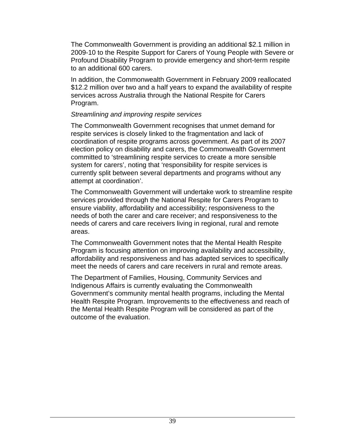The Commonwealth Government is providing an additional \$2.1 million in 2009-10 to the Respite Support for Carers of Young People with Severe or Profound Disability Program to provide emergency and short-term respite to an additional 600 carers.

In addition, the Commonwealth Government in February 2009 reallocated \$12.2 million over two and a half years to expand the availability of respite services across Australia through the National Respite for Carers Program.

#### *Streamlining and improving respite services*

The Commonwealth Government recognises that unmet demand for respite services is closely linked to the fragmentation and lack of coordination of respite programs across government. As part of its 2007 election policy on disability and carers, the Commonwealth Government committed to 'streamlining respite services to create a more sensible system for carers', noting that 'responsibility for respite services is currently split between several departments and programs without any attempt at coordination'.

The Commonwealth Government will undertake work to streamline respite services provided through the National Respite for Carers Program to ensure viability, affordability and accessibility; responsiveness to the needs of both the carer and care receiver; and responsiveness to the needs of carers and care receivers living in regional, rural and remote areas.

The Commonwealth Government notes that the Mental Health Respite Program is focusing attention on improving availability and accessibility, affordability and responsiveness and has adapted services to specifically meet the needs of carers and care receivers in rural and remote areas.

The Department of Families, Housing, Community Services and Indigenous Affairs is currently evaluating the Commonwealth Government's community mental health programs, including the Mental Health Respite Program. Improvements to the effectiveness and reach of the Mental Health Respite Program will be considered as part of the outcome of the evaluation.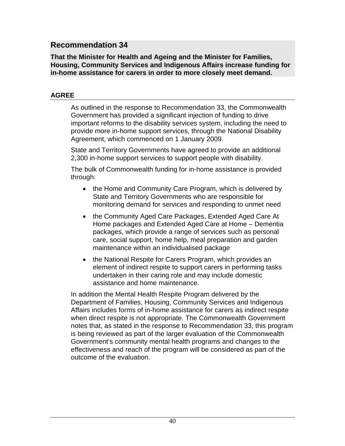**That the Minister for Health and Ageing and the Minister for Families, Housing, Community Services and Indigenous Affairs increase funding for in-home assistance for carers in order to more closely meet demand.**

#### **AGREE**

As outlined in the response to Recommendation 33, the Commonwealth Government has provided a significant injection of funding to drive important reforms to the disability services system, including the need to provide more in-home support services, through the National Disability Agreement, which commenced on 1 January 2009.

State and Territory Governments have agreed to provide an additional 2,300 in-home support services to support people with disability.

The bulk of Commonwealth funding for in-home assistance is provided through:

- the Home and Community Care Program, which is delivered by State and Territory Governments who are responsible for monitoring demand for services and responding to unmet need
- the Community Aged Care Packages, Extended Aged Care At Home packages and Extended Aged Care at Home – Dementia packages, which provide a range of services such as personal care, social support, home help, meal preparation and garden maintenance within an individualised package
- the National Respite for Carers Program, which provides an element of indirect respite to support carers in performing tasks undertaken in their caring role and may include domestic assistance and home maintenance.

In addition the Mental Health Respite Program delivered by the Department of Families, Housing, Community Services and Indigenous Affairs includes forms of in-home assistance for carers as indirect respite when direct respite is not appropriate. The Commonwealth Government notes that, as stated in the response to Recommendation 33, this program is being reviewed as part of the larger evaluation of the Commonwealth Government's community mental health programs and changes to the effectiveness and reach of the program will be considered as part of the outcome of the evaluation.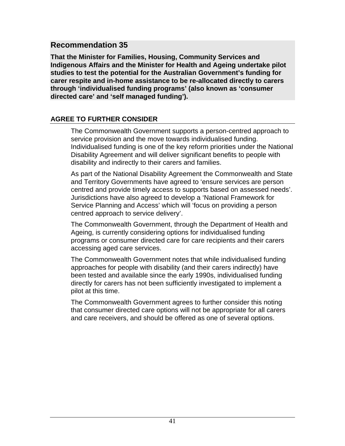**That the Minister for Families, Housing, Community Services and Indigenous Affairs and the Minister for Health and Ageing undertake pilot studies to test the potential for the Australian Government's funding for carer respite and in-home assistance to be re-allocated directly to carers through 'individualised funding programs' (also known as 'consumer directed care' and 'self managed funding').**

#### **AGREE TO FURTHER CONSIDER**

The Commonwealth Government supports a person-centred approach to service provision and the move towards individualised funding. Individualised funding is one of the key reform priorities under the National Disability Agreement and will deliver significant benefits to people with disability and indirectly to their carers and families.

As part of the National Disability Agreement the Commonwealth and State and Territory Governments have agreed to 'ensure services are person centred and provide timely access to supports based on assessed needs'. Jurisdictions have also agreed to develop a 'National Framework for Service Planning and Access' which will 'focus on providing a person centred approach to service delivery'.

The Commonwealth Government, through the Department of Health and Ageing, is currently considering options for individualised funding programs or consumer directed care for care recipients and their carers accessing aged care services.

The Commonwealth Government notes that while individualised funding approaches for people with disability (and their carers indirectly) have been tested and available since the early 1990s, individualised funding directly for carers has not been sufficiently investigated to implement a pilot at this time.

The Commonwealth Government agrees to further consider this noting that consumer directed care options will not be appropriate for all carers and care receivers, and should be offered as one of several options.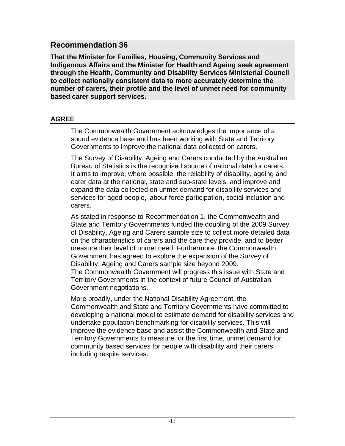**That the Minister for Families, Housing, Community Services and Indigenous Affairs and the Minister for Health and Ageing seek agreement through the Health, Community and Disability Services Ministerial Council to collect nationally consistent data to more accurately determine the number of carers, their profile and the level of unmet need for community based carer support services.**

#### **AGREE**

The Commonwealth Government acknowledges the importance of a sound evidence base and has been working with State and Territory Governments to improve the national data collected on carers.

The Survey of Disability, Ageing and Carers conducted by the Australian Bureau of Statistics is the recognised source of national data for carers. It aims to improve, where possible, the reliability of disability, ageing and carer data at the national, state and sub-state levels, and improve and expand the data collected on unmet demand for disability services and services for aged people, labour force participation, social inclusion and carers.

As stated in response to Recommendation 1, the Commonwealth and State and Territory Governments funded the doubling of the 2009 Survey of Disability, Ageing and Carers sample size to collect more detailed data on the characteristics of carers and the care they provide, and to better measure their level of unmet need. Furthermore, the Commonwealth Government has agreed to explore the expansion of the Survey of Disability, Ageing and Carers sample size beyond 2009. The Commonwealth Government will progress this issue with State and Territory Governments in the context of future Council of Australian Government negotiations.

More broadly, under the National Disability Agreement, the Commonwealth and State and Territory Governments have committed to developing a national model to estimate demand for disability services and undertake population benchmarking for disability services. This will improve the evidence base and assist the Commonwealth and State and Territory Governments to measure for the first time, unmet demand for community based services for people with disability and their carers, including respite services.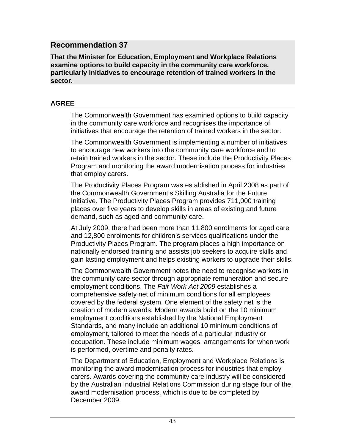**That the Minister for Education, Employment and Workplace Relations examine options to build capacity in the community care workforce, particularly initiatives to encourage retention of trained workers in the sector.**

#### **AGREE**

The Commonwealth Government has examined options to build capacity in the community care workforce and recognises the importance of initiatives that encourage the retention of trained workers in the sector.

The Commonwealth Government is implementing a number of initiatives to encourage new workers into the community care workforce and to retain trained workers in the sector. These include the Productivity Places Program and monitoring the award modernisation process for industries that employ carers.

The Productivity Places Program was established in April 2008 as part of the Commonwealth Government's Skilling Australia for the Future Initiative. The Productivity Places Program provides 711,000 training places over five years to develop skills in areas of existing and future demand, such as aged and community care.

At July 2009, there had been more than 11,800 enrolments for aged care and 12,800 enrolments for children's services qualifications under the Productivity Places Program. The program places a high importance on nationally endorsed training and assists job seekers to acquire skills and gain lasting employment and helps existing workers to upgrade their skills.

The Commonwealth Government notes the need to recognise workers in the community care sector through appropriate remuneration and secure employment conditions. The *Fair Work Act 2009* establishes a comprehensive safety net of minimum conditions for all employees covered by the federal system. One element of the safety net is the creation of modern awards. Modern awards build on the 10 minimum employment conditions established by the National Employment Standards, and many include an additional 10 minimum conditions of employment, tailored to meet the needs of a particular industry or occupation. These include minimum wages, arrangements for when work is performed, overtime and penalty rates.

The Department of Education, Employment and Workplace Relations is monitoring the award modernisation process for industries that employ carers. Awards covering the community care industry will be considered by the Australian Industrial Relations Commission during stage four of the award modernisation process, which is due to be completed by December 2009.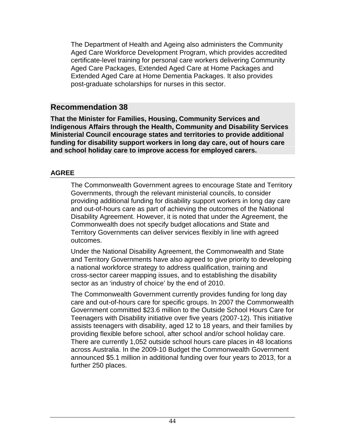The Department of Health and Ageing also administers the Community Aged Care Workforce Development Program, which provides accredited certificate-level training for personal care workers delivering Community Aged Care Packages, Extended Aged Care at Home Packages and Extended Aged Care at Home Dementia Packages. It also provides post-graduate scholarships for nurses in this sector.

## **Recommendation 38**

**That the Minister for Families, Housing, Community Services and Indigenous Affairs through the Health, Community and Disability Services Ministerial Council encourage states and territories to provide additional funding for disability support workers in long day care, out of hours care and school holiday care to improve access for employed carers.**

#### **AGREE**

The Commonwealth Government agrees to encourage State and Territory Governments, through the relevant ministerial councils, to consider providing additional funding for disability support workers in long day care and out-of-hours care as part of achieving the outcomes of the National Disability Agreement. However, it is noted that under the Agreement, the Commonwealth does not specify budget allocations and State and Territory Governments can deliver services flexibly in line with agreed outcomes.

Under the National Disability Agreement, the Commonwealth and State and Territory Governments have also agreed to give priority to developing a national workforce strategy to address qualification, training and cross-sector career mapping issues, and to establishing the disability sector as an 'industry of choice' by the end of 2010.

The Commonwealth Government currently provides funding for long day care and out-of-hours care for specific groups. In 2007 the Commonwealth Government committed \$23.6 million to the Outside School Hours Care for Teenagers with Disability initiative over five years (2007-12). This initiative assists teenagers with disability, aged 12 to 18 years, and their families by providing flexible before school, after school and/or school holiday care. There are currently 1,052 outside school hours care places in 48 locations across Australia. In the 2009-10 Budget the Commonwealth Government announced \$5.1 million in additional funding over four years to 2013, for a further 250 places.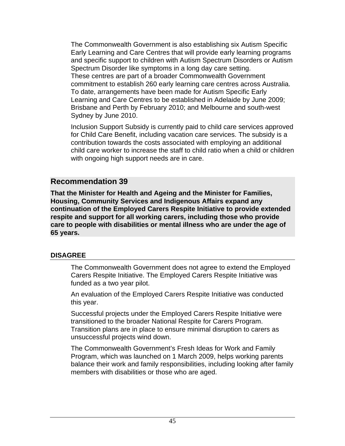The Commonwealth Government is also establishing six Autism Specific Early Learning and Care Centres that will provide early learning programs and specific support to children with Autism Spectrum Disorders or Autism Spectrum Disorder like symptoms in a long day care setting. These centres are part of a broader Commonwealth Government commitment to establish 260 early learning care centres across Australia. To date, arrangements have been made for Autism Specific Early Learning and Care Centres to be established in Adelaide by June 2009; Brisbane and Perth by February 2010; and Melbourne and south-west Sydney by June 2010.

Inclusion Support Subsidy is currently paid to child care services approved for Child Care Benefit, including vacation care services. The subsidy is a contribution towards the costs associated with employing an additional child care worker to increase the staff to child ratio when a child or children with ongoing high support needs are in care.

### **Recommendation 39**

**That the Minister for Health and Ageing and the Minister for Families, Housing, Community Services and Indigenous Affairs expand any continuation of the Employed Carers Respite Initiative to provide extended respite and support for all working carers, including those who provide care to people with disabilities or mental illness who are under the age of 65 years.**

#### **DISAGREE**

The Commonwealth Government does not agree to extend the Employed Carers Respite Initiative. The Employed Carers Respite Initiative was funded as a two year pilot.

An evaluation of the Employed Carers Respite Initiative was conducted this year.

Successful projects under the Employed Carers Respite Initiative were transitioned to the broader National Respite for Carers Program. Transition plans are in place to ensure minimal disruption to carers as unsuccessful projects wind down.

The Commonwealth Government's Fresh Ideas for Work and Family Program, which was launched on 1 March 2009, helps working parents balance their work and family responsibilities, including looking after family members with disabilities or those who are aged.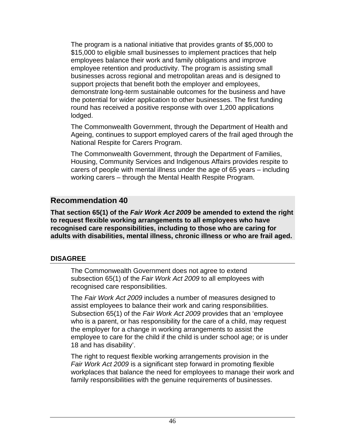The program is a national initiative that provides grants of \$5,000 to \$15,000 to eligible small businesses to implement practices that help employees balance their work and family obligations and improve employee retention and productivity. The program is assisting small businesses across regional and metropolitan areas and is designed to support projects that benefit both the employer and employees, demonstrate long-term sustainable outcomes for the business and have the potential for wider application to other businesses. The first funding round has received a positive response with over 1,200 applications lodged.

The Commonwealth Government, through the Department of Health and Ageing, continues to support employed carers of the frail aged through the National Respite for Carers Program.

The Commonwealth Government, through the Department of Families, Housing, Community Services and Indigenous Affairs provides respite to carers of people with mental illness under the age of 65 years – including working carers – through the Mental Health Respite Program.

## **Recommendation 40**

**That section 65(1) of the** *Fair Work Act 2009* **be amended to extend the right to request flexible working arrangements to all employees who have recognised care responsibilities, including to those who are caring for adults with disabilities, mental illness, chronic illness or who are frail aged.**

#### **DISAGREE**

The Commonwealth Government does not agree to extend subsection 65(1) of the *Fair Work Act 2009* to all employees with recognised care responsibilities.

The *Fair Work Act 2009* includes a number of measures designed to assist employees to balance their work and caring responsibilities. Subsection 65(1) of the *Fair Work Act 2009* provides that an 'employee who is a parent, or has responsibility for the care of a child, may request the employer for a change in working arrangements to assist the employee to care for the child if the child is under school age; or is under 18 and has disability'.

The right to request flexible working arrangements provision in the *Fair Work Act 2009* is a significant step forward in promoting flexible workplaces that balance the need for employees to manage their work and family responsibilities with the genuine requirements of businesses.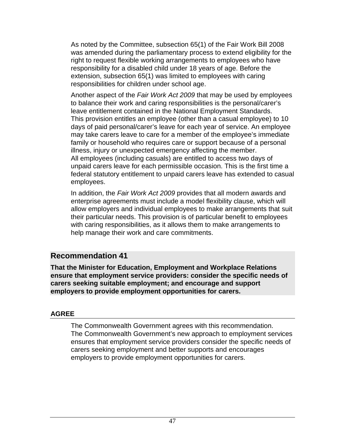As noted by the Committee, subsection 65(1) of the Fair Work Bill 2008 was amended during the parliamentary process to extend eligibility for the right to request flexible working arrangements to employees who have responsibility for a disabled child under 18 years of age. Before the extension, subsection 65(1) was limited to employees with caring responsibilities for children under school age.

Another aspect of the *Fair Work Act 2009* that may be used by employees to balance their work and caring responsibilities is the personal/carer's leave entitlement contained in the National Employment Standards. This provision entitles an employee (other than a casual employee) to 10 days of paid personal/carer's leave for each year of service. An employee may take carers leave to care for a member of the employee's immediate family or household who requires care or support because of a personal illness, injury or unexpected emergency affecting the member. All employees (including casuals) are entitled to access two days of unpaid carers leave for each permissible occasion. This is the first time a federal statutory entitlement to unpaid carers leave has extended to casual employees.

In addition, the *Fair Work Act 2009* provides that all modern awards and enterprise agreements must include a model flexibility clause, which will allow employers and individual employees to make arrangements that suit their particular needs. This provision is of particular benefit to employees with caring responsibilities, as it allows them to make arrangements to help manage their work and care commitments.

## **Recommendation 41**

**That the Minister for Education, Employment and Workplace Relations ensure that employment service providers: consider the specific needs of carers seeking suitable employment; and encourage and support employers to provide employment opportunities for carers.**

### **AGREE**

The Commonwealth Government agrees with this recommendation. The Commonwealth Government's new approach to employment services ensures that employment service providers consider the specific needs of carers seeking employment and better supports and encourages employers to provide employment opportunities for carers.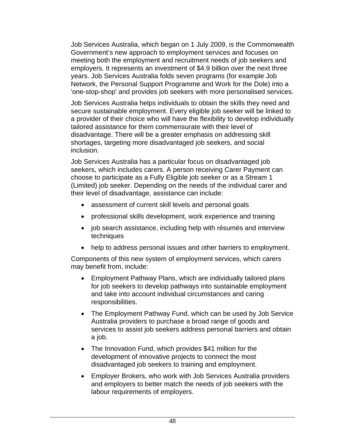Job Services Australia, which began on 1 July 2009, is the Commonwealth Government's new approach to employment services and focuses on meeting both the employment and recruitment needs of job seekers and employers. It represents an investment of \$4.9 billion over the next three years. Job Services Australia folds seven programs (for example Job Network, the Personal Support Programme and Work for the Dole) into a 'one-stop-shop' and provides job seekers with more personalised services.

Job Services Australia helps individuals to obtain the skills they need and secure sustainable employment. Every eligible job seeker will be linked to a provider of their choice who will have the flexibility to develop individually tailored assistance for them commensurate with their level of disadvantage. There will be a greater emphasis on addressing skill shortages, targeting more disadvantaged job seekers, and social inclusion.

Job Services Australia has a particular focus on disadvantaged job seekers, which includes carers. A person receiving Carer Payment can choose to participate as a Fully Eligible job seeker or as a Stream 1 (Limited) job seeker. Depending on the needs of the individual carer and their level of disadvantage, assistance can include:

- assessment of current skill levels and personal goals
- professional skills development, work experience and training
- job search assistance, including help with résumés and interview techniques
- help to address personal issues and other barriers to employment.

Components of this new system of employment services, which carers may benefit from, include:

- Employment Pathway Plans, which are individually tailored plans for job seekers to develop pathways into sustainable employment and take into account individual circumstances and caring responsibilities.
- The Employment Pathway Fund, which can be used by Job Service Australia providers to purchase a broad range of goods and services to assist job seekers address personal barriers and obtain a job.
- The Innovation Fund, which provides \$41 million for the development of innovative projects to connect the most disadvantaged job seekers to training and employment.
- Employer Brokers, who work with Job Services Australia providers and employers to better match the needs of job seekers with the labour requirements of employers.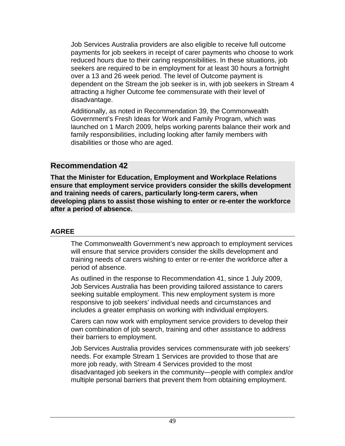Job Services Australia providers are also eligible to receive full outcome payments for job seekers in receipt of carer payments who choose to work reduced hours due to their caring responsibilities. In these situations, job seekers are required to be in employment for at least 30 hours a fortnight over a 13 and 26 week period. The level of Outcome payment is dependent on the Stream the job seeker is in, with job seekers in Stream 4 attracting a higher Outcome fee commensurate with their level of disadvantage.

Additionally, as noted in Recommendation 39, the Commonwealth Government's Fresh Ideas for Work and Family Program, which was launched on 1 March 2009, helps working parents balance their work and family responsibilities, including looking after family members with disabilities or those who are aged.

#### **Recommendation 42**

**That the Minister for Education, Employment and Workplace Relations ensure that employment service providers consider the skills development and training needs of carers, particularly long-term carers, when developing plans to assist those wishing to enter or re-enter the workforce after a period of absence.**

#### **AGREE**

The Commonwealth Government's new approach to employment services will ensure that service providers consider the skills development and training needs of carers wishing to enter or re-enter the workforce after a period of absence.

As outlined in the response to Recommendation 41, since 1 July 2009, Job Services Australia has been providing tailored assistance to carers seeking suitable employment. This new employment system is more responsive to job seekers' individual needs and circumstances and includes a greater emphasis on working with individual employers.

Carers can now work with employment service providers to develop their own combination of job search, training and other assistance to address their barriers to employment.

Job Services Australia provides services commensurate with job seekers' needs. For example Stream 1 Services are provided to those that are more job ready, with Stream 4 Services provided to the most disadvantaged job seekers in the community—people with complex and/or multiple personal barriers that prevent them from obtaining employment.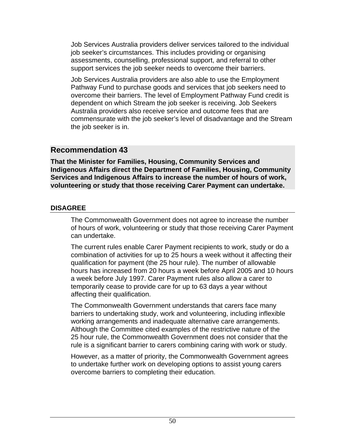Job Services Australia providers deliver services tailored to the individual job seeker's circumstances. This includes providing or organising assessments, counselling, professional support, and referral to other support services the job seeker needs to overcome their barriers.

Job Services Australia providers are also able to use the Employment Pathway Fund to purchase goods and services that job seekers need to overcome their barriers. The level of Employment Pathway Fund credit is dependent on which Stream the job seeker is receiving. Job Seekers Australia providers also receive service and outcome fees that are commensurate with the job seeker's level of disadvantage and the Stream the job seeker is in.

## **Recommendation 43**

**That the Minister for Families, Housing, Community Services and Indigenous Affairs direct the Department of Families, Housing, Community Services and Indigenous Affairs to increase the number of hours of work, volunteering or study that those receiving Carer Payment can undertake.**

### **DISAGREE**

The Commonwealth Government does not agree to increase the number of hours of work, volunteering or study that those receiving Carer Payment can undertake.

The current rules enable Carer Payment recipients to work, study or do a combination of activities for up to 25 hours a week without it affecting their qualification for payment (the 25 hour rule). The number of allowable hours has increased from 20 hours a week before April 2005 and 10 hours a week before July 1997. Carer Payment rules also allow a carer to temporarily cease to provide care for up to 63 days a year without affecting their qualification.

The Commonwealth Government understands that carers face many barriers to undertaking study, work and volunteering, including inflexible working arrangements and inadequate alternative care arrangements. Although the Committee cited examples of the restrictive nature of the 25 hour rule, the Commonwealth Government does not consider that the rule is a significant barrier to carers combining caring with work or study.

However, as a matter of priority, the Commonwealth Government agrees to undertake further work on developing options to assist young carers overcome barriers to completing their education.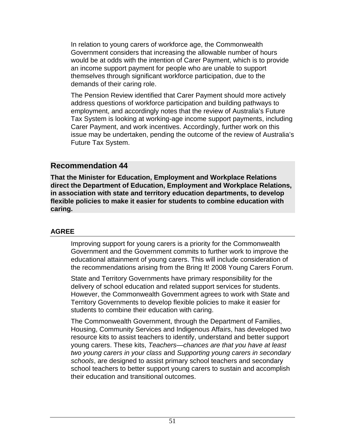In relation to young carers of workforce age, the Commonwealth Government considers that increasing the allowable number of hours would be at odds with the intention of Carer Payment, which is to provide an income support payment for people who are unable to support themselves through significant workforce participation, due to the demands of their caring role.

The Pension Review identified that Carer Payment should more actively address questions of workforce participation and building pathways to employment, and accordingly notes that the review of Australia's Future Tax System is looking at working-age income support payments, including Carer Payment, and work incentives. Accordingly, further work on this issue may be undertaken, pending the outcome of the review of Australia's Future Tax System.

#### **Recommendation 44**

**That the Minister for Education, Employment and Workplace Relations direct the Department of Education, Employment and Workplace Relations, in association with state and territory education departments, to develop flexible policies to make it easier for students to combine education with caring.**

#### **AGREE**

Improving support for young carers is a priority for the Commonwealth Government and the Government commits to further work to improve the educational attainment of young carers. This will include consideration of the recommendations arising from the Bring It! 2008 Young Carers Forum.

State and Territory Governments have primary responsibility for the delivery of school education and related support services for students. However, the Commonwealth Government agrees to work with State and Territory Governments to develop flexible policies to make it easier for students to combine their education with caring.

The Commonwealth Government, through the Department of Families, Housing, Community Services and Indigenous Affairs, has developed two resource kits to assist teachers to identify, understand and better support young carers. These kits, *Teachers—chances are that you have at least two young carers in your class* and *Supporting young carers in secondary schools*, are designed to assist primary school teachers and secondary school teachers to better support young carers to sustain and accomplish their education and transitional outcomes.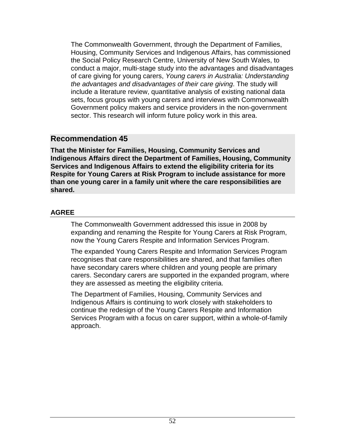The Commonwealth Government, through the Department of Families, Housing, Community Services and Indigenous Affairs, has commissioned the Social Policy Research Centre, University of New South Wales, to conduct a major, multi-stage study into the advantages and disadvantages of care giving for young carers, *Young carers in Australia: Understanding the advantages and disadvantages of their care giving*. The study will include a literature review, quantitative analysis of existing national data sets, focus groups with young carers and interviews with Commonwealth Government policy makers and service providers in the non-government sector. This research will inform future policy work in this area.

## **Recommendation 45**

**That the Minister for Families, Housing, Community Services and Indigenous Affairs direct the Department of Families, Housing, Community Services and Indigenous Affairs to extend the eligibility criteria for its Respite for Young Carers at Risk Program to include assistance for more than one young carer in a family unit where the care responsibilities are shared.**

#### **AGREE**

The Commonwealth Government addressed this issue in 2008 by expanding and renaming the Respite for Young Carers at Risk Program, now the Young Carers Respite and Information Services Program.

The expanded Young Carers Respite and Information Services Program recognises that care responsibilities are shared, and that families often have secondary carers where children and young people are primary carers. Secondary carers are supported in the expanded program, where they are assessed as meeting the eligibility criteria.

The Department of Families, Housing, Community Services and Indigenous Affairs is continuing to work closely with stakeholders to continue the redesign of the Young Carers Respite and Information Services Program with a focus on carer support, within a whole-of-family approach.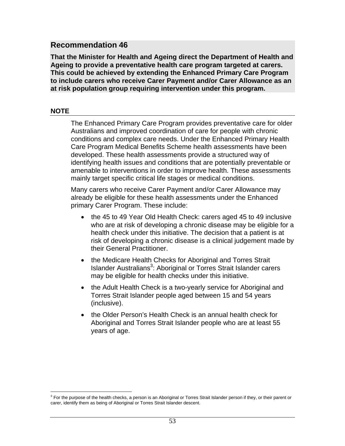**That the Minister for Health and Ageing direct the Department of Health and Ageing to provide a preventative health care program targeted at carers. This could be achieved by extending the Enhanced Primary Care Program to include carers who receive Carer Payment and/or Carer Allowance as an at risk population group requiring intervention under this program.**

#### **NOTE**

The Enhanced Primary Care Program provides preventative care for older Australians and improved coordination of care for people with chronic conditions and complex care needs. Under the Enhanced Primary Health Care Program Medical Benefits Scheme health assessments have been developed. These health assessments provide a structured way of identifying health issues and conditions that are potentially preventable or amenable to interventions in order to improve health. These assessments mainly target specific critical life stages or medical conditions.

Many carers who receive Carer Payment and/or Carer Allowance may already be eligible for these health assessments under the Enhanced primary Carer Program. These include:

- the 45 to 49 Year Old Health Check: carers aged 45 to 49 inclusive who are at risk of developing a chronic disease may be eligible for a health check under this initiative. The decision that a patient is at risk of developing a chronic disease is a clinical judgement made by their General Practitioner.
- the Medicare Health Checks for Aboriginal and Torres Strait Islander Australians<sup>3</sup>: Aboriginal or Torres Strait Islander carers may be eligible for health checks under this initiative.
- the Adult Health Check is a two-yearly service for Aboriginal and Torres Strait Islander people aged between 15 and 54 years (inclusive).
- the Older Person's Health Check is an annual health check for Aboriginal and Torres Strait Islander people who are at least 55 years of age.

 $\overline{a}$  $3$  For the purpose of the health checks, a person is an Aboriginal or Torres Strait Islander person if they, or their parent or carer, identify them as being of Aboriginal or Torres Strait Islander descent.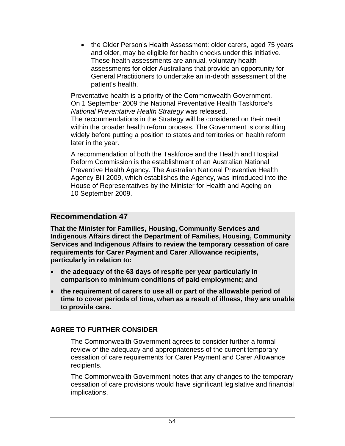• the Older Person's Health Assessment: older carers, aged 75 years and older, may be eligible for health checks under this initiative. These health assessments are annual, voluntary health assessments for older Australians that provide an opportunity for General Practitioners to undertake an in-depth assessment of the patient's health.

Preventative health is a priority of the Commonwealth Government. On 1 September 2009 the National Preventative Health Taskforce's *National Preventative Health Strategy* was released. The recommendations in the Strategy will be considered on their merit within the broader health reform process. The Government is consulting widely before putting a position to states and territories on health reform

later in the year.

A recommendation of both the Taskforce and the Health and Hospital Reform Commission is the establishment of an Australian National Preventive Health Agency. The Australian National Preventive Health Agency Bill 2009, which establishes the Agency, was introduced into the House of Representatives by the Minister for Health and Ageing on 10 September 2009.

## **Recommendation 47**

**That the Minister for Families, Housing, Community Services and Indigenous Affairs direct the Department of Families, Housing, Community Services and Indigenous Affairs to review the temporary cessation of care requirements for Carer Payment and Carer Allowance recipients, particularly in relation to:** 

- **the adequacy of the 63 days of respite per year particularly in comparison to minimum conditions of paid employment; and**
- **the requirement of carers to use all or part of the allowable period of time to cover periods of time, when as a result of illness, they are unable to provide care.**

### **AGREE TO FURTHER CONSIDER**

The Commonwealth Government agrees to consider further a formal review of the adequacy and appropriateness of the current temporary cessation of care requirements for Carer Payment and Carer Allowance recipients.

The Commonwealth Government notes that any changes to the temporary cessation of care provisions would have significant legislative and financial implications.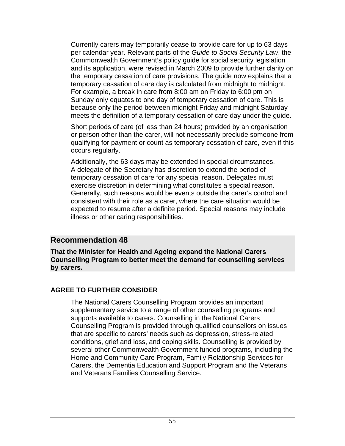Currently carers may temporarily cease to provide care for up to 63 days per calendar year. Relevant parts of the *Guide to Social Security Law*, the Commonwealth Government's policy guide for social security legislation and its application, were revised in March 2009 to provide further clarity on the temporary cessation of care provisions. The guide now explains that a temporary cessation of care day is calculated from midnight to midnight. For example, a break in care from 8:00 am on Friday to 6:00 pm on Sunday only equates to one day of temporary cessation of care. This is because only the period between midnight Friday and midnight Saturday meets the definition of a temporary cessation of care day under the guide.

Short periods of care (of less than 24 hours) provided by an organisation or person other than the carer, will not necessarily preclude someone from qualifying for payment or count as temporary cessation of care, even if this occurs regularly.

Additionally, the 63 days may be extended in special circumstances. A delegate of the Secretary has discretion to extend the period of temporary cessation of care for any special reason. Delegates must exercise discretion in determining what constitutes a special reason. Generally, such reasons would be events outside the carer's control and consistent with their role as a carer, where the care situation would be expected to resume after a definite period. Special reasons may include illness or other caring responsibilities.

#### **Recommendation 48**

**That the Minister for Health and Ageing expand the National Carers Counselling Program to better meet the demand for counselling services by carers.**

#### **AGREE TO FURTHER CONSIDER**

The National Carers Counselling Program provides an important supplementary service to a range of other counselling programs and supports available to carers. Counselling in the National Carers Counselling Program is provided through qualified counsellors on issues that are specific to carers' needs such as depression, stress-related conditions, grief and loss, and coping skills. Counselling is provided by several other Commonwealth Government funded programs, including the Home and Community Care Program, Family Relationship Services for Carers, the Dementia Education and Support Program and the Veterans and Veterans Families Counselling Service.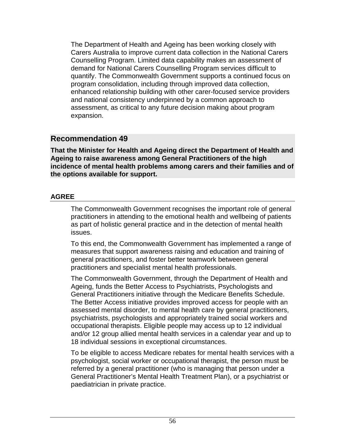The Department of Health and Ageing has been working closely with Carers Australia to improve current data collection in the National Carers Counselling Program. Limited data capability makes an assessment of demand for National Carers Counselling Program services difficult to quantify. The Commonwealth Government supports a continued focus on program consolidation, including through improved data collection, enhanced relationship building with other carer-focused service providers and national consistency underpinned by a common approach to assessment, as critical to any future decision making about program expansion.

## **Recommendation 49**

**That the Minister for Health and Ageing direct the Department of Health and Ageing to raise awareness among General Practitioners of the high incidence of mental health problems among carers and their families and of the options available for support.**

### **AGREE**

The Commonwealth Government recognises the important role of general practitioners in attending to the emotional health and wellbeing of patients as part of holistic general practice and in the detection of mental health issues.

To this end, the Commonwealth Government has implemented a range of measures that support awareness raising and education and training of general practitioners, and foster better teamwork between general practitioners and specialist mental health professionals.

The Commonwealth Government, through the Department of Health and Ageing, funds the Better Access to Psychiatrists, Psychologists and General Practitioners initiative through the Medicare Benefits Schedule. The Better Access initiative provides improved access for people with an assessed mental disorder, to mental health care by general practitioners, psychiatrists, psychologists and appropriately trained social workers and occupational therapists. Eligible people may access up to 12 individual and/or 12 group allied mental health services in a calendar year and up to 18 individual sessions in exceptional circumstances.

To be eligible to access Medicare rebates for mental health services with a psychologist, social worker or occupational therapist, the person must be referred by a general practitioner (who is managing that person under a General Practitioner's Mental Health Treatment Plan), or a psychiatrist or paediatrician in private practice.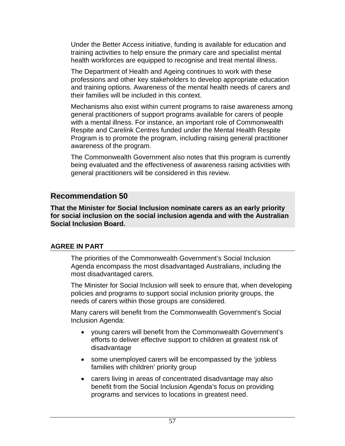Under the Better Access initiative, funding is available for education and training activities to help ensure the primary care and specialist mental health workforces are equipped to recognise and treat mental illness.

The Department of Health and Ageing continues to work with these professions and other key stakeholders to develop appropriate education and training options. Awareness of the mental health needs of carers and their families will be included in this context.

Mechanisms also exist within current programs to raise awareness among general practitioners of support programs available for carers of people with a mental illness. For instance, an important role of Commonwealth Respite and Carelink Centres funded under the Mental Health Respite Program is to promote the program, including raising general practitioner awareness of the program.

The Commonwealth Government also notes that this program is currently being evaluated and the effectiveness of awareness raising activities with general practitioners will be considered in this review.

## **Recommendation 50**

**That the Minister for Social Inclusion nominate carers as an early priority for social inclusion on the social inclusion agenda and with the Australian Social Inclusion Board.**

### **AGREE IN PART**

The priorities of the Commonwealth Government's Social Inclusion Agenda encompass the most disadvantaged Australians, including the most disadvantaged carers.

The Minister for Social Inclusion will seek to ensure that, when developing policies and programs to support social inclusion priority groups, the needs of carers within those groups are considered.

Many carers will benefit from the Commonwealth Government's Social Inclusion Agenda:

- young carers will benefit from the Commonwealth Government's efforts to deliver effective support to children at greatest risk of disadvantage
- some unemployed carers will be encompassed by the 'jobless families with children' priority group
- carers living in areas of concentrated disadvantage may also benefit from the Social Inclusion Agenda's focus on providing programs and services to locations in greatest need.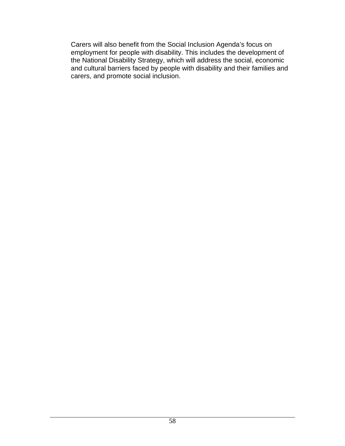Carers will also benefit from the Social Inclusion Agenda's focus on employment for people with disability. This includes the development of the National Disability Strategy, which will address the social, economic and cultural barriers faced by people with disability and their families and carers, and promote social inclusion.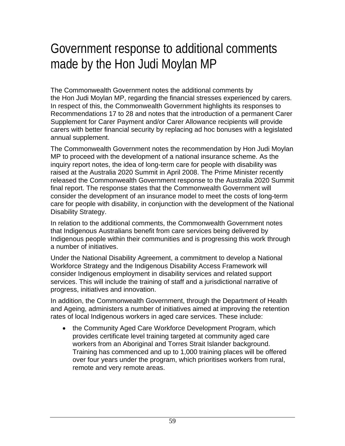## Government response to additional comments made by the Hon Judi Moylan MP

The Commonwealth Government notes the additional comments by the Hon Judi Moylan MP, regarding the financial stresses experienced by carers. In respect of this, the Commonwealth Government highlights its responses to Recommendations 17 to 28 and notes that the introduction of a permanent Carer Supplement for Carer Payment and/or Carer Allowance recipients will provide carers with better financial security by replacing ad hoc bonuses with a legislated annual supplement.

The Commonwealth Government notes the recommendation by Hon Judi Moylan MP to proceed with the development of a national insurance scheme. As the inquiry report notes, the idea of long-term care for people with disability was raised at the Australia 2020 Summit in April 2008. The Prime Minister recently released the Commonwealth Government response to the Australia 2020 Summit final report. The response states that the Commonwealth Government will consider the development of an insurance model to meet the costs of long-term care for people with disability, in conjunction with the development of the National Disability Strategy.

In relation to the additional comments, the Commonwealth Government notes that Indigenous Australians benefit from care services being delivered by Indigenous people within their communities and is progressing this work through a number of initiatives.

Under the National Disability Agreement, a commitment to develop a National Workforce Strategy and the Indigenous Disability Access Framework will consider Indigenous employment in disability services and related support services. This will include the training of staff and a jurisdictional narrative of progress, initiatives and innovation.

In addition, the Commonwealth Government, through the Department of Health and Ageing, administers a number of initiatives aimed at improving the retention rates of local Indigenous workers in aged care services. These include:

 the Community Aged Care Workforce Development Program, which provides certificate level training targeted at community aged care workers from an Aboriginal and Torres Strait Islander background. Training has commenced and up to 1,000 training places will be offered over four years under the program, which prioritises workers from rural, remote and very remote areas.